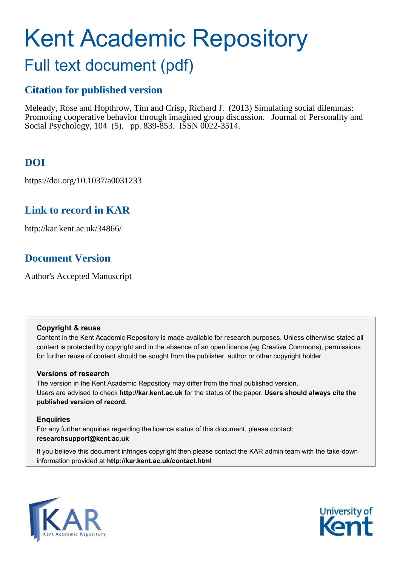# Kent Academic Repository

## Full text document (pdf)

## **Citation for published version**

Meleady, Rose and Hopthrow, Tim and Crisp, Richard J. (2013) Simulating social dilemmas: Promoting cooperative behavior through imagined group discussion. Journal of Personality and Social Psychology, 104 (5). pp. 839-853. ISSN 0022-3514.

## **DOI**

https://doi.org/10.1037/a0031233

## **Link to record in KAR**

http://kar.kent.ac.uk/34866/

## **Document Version**

Author's Accepted Manuscript

#### **Copyright & reuse**

Content in the Kent Academic Repository is made available for research purposes. Unless otherwise stated all content is protected by copyright and in the absence of an open licence (eg Creative Commons), permissions for further reuse of content should be sought from the publisher, author or other copyright holder.

#### **Versions of research**

The version in the Kent Academic Repository may differ from the final published version. Users are advised to check **http://kar.kent.ac.uk** for the status of the paper. **Users should always cite the published version of record.**

#### **Enquiries**

For any further enquiries regarding the licence status of this document, please contact: **researchsupport@kent.ac.uk**

If you believe this document infringes copyright then please contact the KAR admin team with the take-down information provided at **http://kar.kent.ac.uk/contact.html**



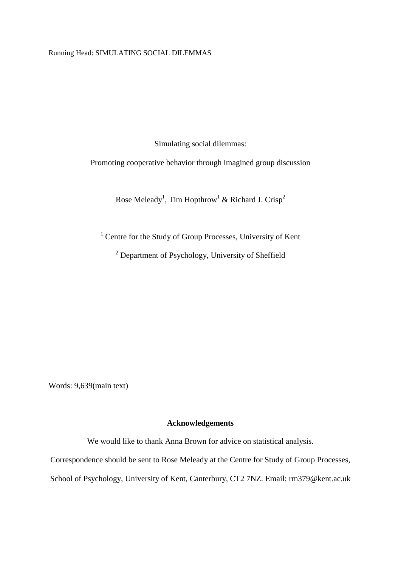Running Head: SIMULATING SOCIAL DILEMMAS

Simulating social dilemmas:

Promoting cooperative behavior through imagined group discussion

Rose Meleady<sup>1</sup>, Tim Hopthrow<sup>1</sup> & Richard J. Crisp<sup>2</sup>

<sup>1</sup> Centre for the Study of Group Processes, University of Kent

<sup>2</sup> Department of Psychology, University of Sheffield

Words: 9,639(main text)

#### **Acknowledgements**

We would like to thank Anna Brown for advice on statistical analysis.

Correspondence should be sent to Rose Meleady at the Centre for Study of Group Processes,

School of Psychology, University of Kent, Canterbury, CT2 7NZ. Email: rm379@kent.ac.uk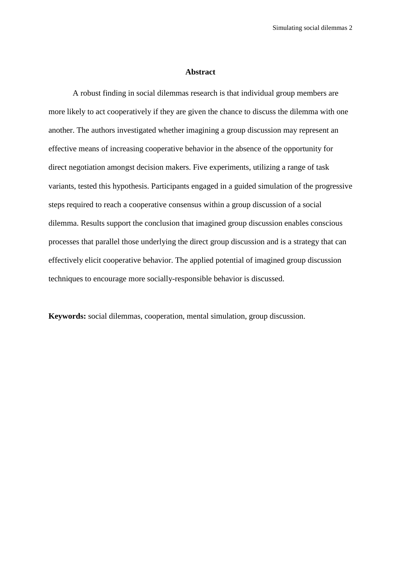#### **Abstract**

A robust finding in social dilemmas research is that individual group members are more likely to act cooperatively if they are given the chance to discuss the dilemma with one another. The authors investigated whether imagining a group discussion may represent an effective means of increasing cooperative behavior in the absence of the opportunity for direct negotiation amongst decision makers. Five experiments, utilizing a range of task variants, tested this hypothesis. Participants engaged in a guided simulation of the progressive steps required to reach a cooperative consensus within a group discussion of a social dilemma. Results support the conclusion that imagined group discussion enables conscious processes that parallel those underlying the direct group discussion and is a strategy that can effectively elicit cooperative behavior. The applied potential of imagined group discussion techniques to encourage more socially-responsible behavior is discussed.

**Keywords:** social dilemmas, cooperation, mental simulation, group discussion.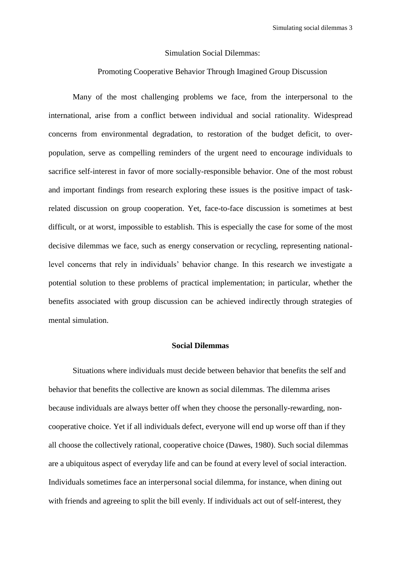#### Simulation Social Dilemmas:

#### Promoting Cooperative Behavior Through Imagined Group Discussion

Many of the most challenging problems we face, from the interpersonal to the international, arise from a conflict between individual and social rationality. Widespread concerns from environmental degradation, to restoration of the budget deficit, to overpopulation, serve as compelling reminders of the urgent need to encourage individuals to sacrifice self-interest in favor of more socially-responsible behavior. One of the most robust and important findings from research exploring these issues is the positive impact of taskrelated discussion on group cooperation. Yet, face-to-face discussion is sometimes at best difficult, or at worst, impossible to establish. This is especially the case for some of the most decisive dilemmas we face, such as energy conservation or recycling, representing nationallevel concerns that rely in individuals' behavior change. In this research we investigate a potential solution to these problems of practical implementation; in particular, whether the benefits associated with group discussion can be achieved indirectly through strategies of mental simulation.

#### **Social Dilemmas**

Situations where individuals must decide between behavior that benefits the self and behavior that benefits the collective are known as social dilemmas. The dilemma arises because individuals are always better off when they choose the personally-rewarding, noncooperative choice. Yet if all individuals defect, everyone will end up worse off than if they all choose the collectively rational, cooperative choice (Dawes, 1980). Such social dilemmas are a ubiquitous aspect of everyday life and can be found at every level of social interaction. Individuals sometimes face an interpersonal social dilemma, for instance, when dining out with friends and agreeing to split the bill evenly. If individuals act out of self-interest, they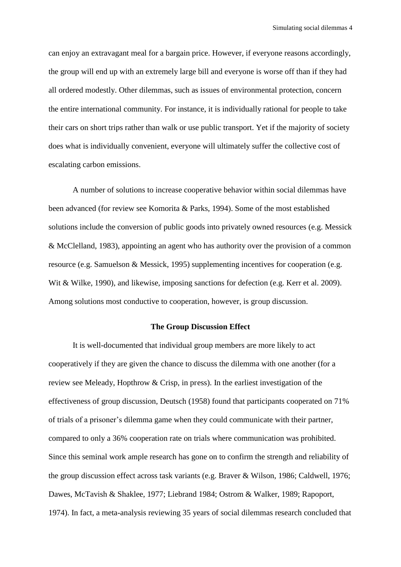can enjoy an extravagant meal for a bargain price. However, if everyone reasons accordingly, the group will end up with an extremely large bill and everyone is worse off than if they had all ordered modestly. Other dilemmas, such as issues of environmental protection, concern the entire international community. For instance, it is individually rational for people to take their cars on short trips rather than walk or use public transport. Yet if the majority of society does what is individually convenient, everyone will ultimately suffer the collective cost of escalating carbon emissions.

A number of solutions to increase cooperative behavior within social dilemmas have been advanced (for review see Komorita & Parks, 1994). Some of the most established solutions include the conversion of public goods into privately owned resources (e.g. Messick & McClelland, 1983), appointing an agent who has authority over the provision of a common resource (e.g. Samuelson & Messick, 1995) supplementing incentives for cooperation (e.g. Wit & Wilke, 1990), and likewise, imposing sanctions for defection (e.g. Kerr et al. 2009). Among solutions most conductive to cooperation, however, is group discussion.

#### **The Group Discussion Effect**

It is well-documented that individual group members are more likely to act cooperatively if they are given the chance to discuss the dilemma with one another (for a review see Meleady, Hopthrow & Crisp, in press). In the earliest investigation of the effectiveness of group discussion, Deutsch (1958) found that participants cooperated on 71% of trials of a prisoner's dilemma game when they could communicate with their partner, compared to only a 36% cooperation rate on trials where communication was prohibited. Since this seminal work ample research has gone on to confirm the strength and reliability of the group discussion effect across task variants (e.g. Braver & Wilson, 1986; Caldwell, 1976; Dawes, McTavish & Shaklee, 1977; Liebrand 1984; Ostrom & Walker, 1989; Rapoport, 1974). In fact, a meta-analysis reviewing 35 years of social dilemmas research concluded that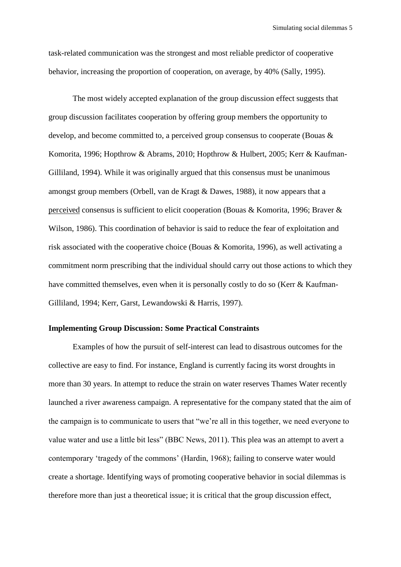task-related communication was the strongest and most reliable predictor of cooperative behavior, increasing the proportion of cooperation, on average, by 40% (Sally, 1995).

The most widely accepted explanation of the group discussion effect suggests that group discussion facilitates cooperation by offering group members the opportunity to develop, and become committed to, a perceived group consensus to cooperate (Bouas & Komorita, 1996; Hopthrow & Abrams, 2010; Hopthrow & Hulbert, 2005; Kerr & Kaufman-Gilliland, 1994). While it was originally argued that this consensus must be unanimous amongst group members (Orbell, van de Kragt & Dawes, 1988), it now appears that a perceived consensus is sufficient to elicit cooperation (Bouas & Komorita, 1996; Braver & Wilson, 1986). This coordination of behavior is said to reduce the fear of exploitation and risk associated with the cooperative choice (Bouas & Komorita, 1996), as well activating a commitment norm prescribing that the individual should carry out those actions to which they have committed themselves, even when it is personally costly to do so (Kerr & Kaufman-Gilliland, 1994; Kerr, Garst, Lewandowski & Harris, 1997).

#### **Implementing Group Discussion: Some Practical Constraints**

Examples of how the pursuit of self-interest can lead to disastrous outcomes for the collective are easy to find. For instance, England is currently facing its worst droughts in more than 30 years. In attempt to reduce the strain on water reserves Thames Water recently launched a river awareness campaign. A representative for the company stated that the aim of the campaign is to communicate to users that "we're all in this together, we need everyone to value water and use a little bit less" (BBC News, 2011). This plea was an attempt to avert a contemporary 'tragedy of the commons' (Hardin, 1968); failing to conserve water would create a shortage. Identifying ways of promoting cooperative behavior in social dilemmas is therefore more than just a theoretical issue; it is critical that the group discussion effect,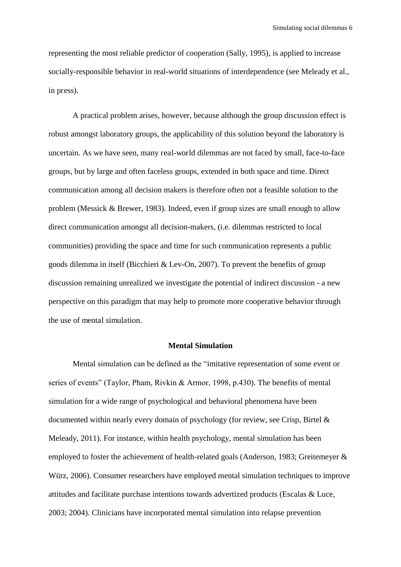representing the most reliable predictor of cooperation (Sally, 1995), is applied to increase socially-responsible behavior in real-world situations of interdependence (see Meleady et al., in press).

A practical problem arises, however, because although the group discussion effect is robust amongst laboratory groups, the applicability of this solution beyond the laboratory is uncertain. As we have seen, many real-world dilemmas are not faced by small, face-to-face groups, but by large and often faceless groups, extended in both space and time. Direct communication among all decision makers is therefore often not a feasible solution to the problem (Messick & Brewer, 1983). Indeed, even if group sizes are small enough to allow direct communication amongst all decision-makers, (i.e. dilemmas restricted to local communities) providing the space and time for such communication represents a public goods dilemma in itself (Bicchieri & Lev-On, 2007). To prevent the benefits of group discussion remaining unrealized we investigate the potential of indirect discussion - a new perspective on this paradigm that may help to promote more cooperative behavior through the use of mental simulation.

#### **Mental Simulation**

Mental simulation can be defined as the "imitative representation of some event or series of events" (Taylor, Pham, Rivkin & Armor, 1998, p.430). The benefits of mental simulation for a wide range of psychological and behavioral phenomena have been documented within nearly every domain of psychology (for review, see Crisp, Birtel & Meleady, 2011). For instance, within health psychology, mental simulation has been employed to foster the achievement of health-related goals (Anderson, 1983; Greitemeyer & Würz, 2006). Consumer researchers have employed mental simulation techniques to improve attitudes and facilitate purchase intentions towards advertized products (Escalas & Luce, 2003; 2004). Clinicians have incorporated mental simulation into relapse prevention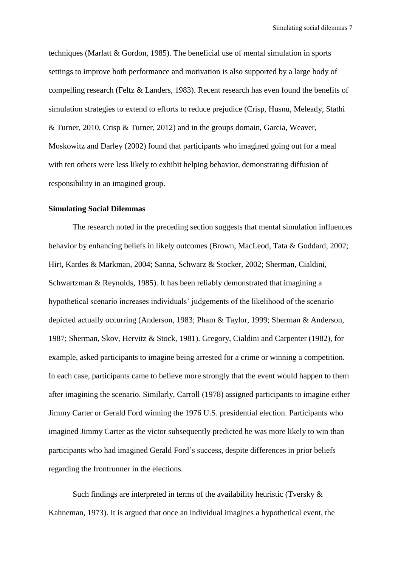techniques (Marlatt & Gordon, 1985). The beneficial use of mental simulation in sports settings to improve both performance and motivation is also supported by a large body of compelling research (Feltz & Landers, 1983). Recent research has even found the benefits of simulation strategies to extend to efforts to reduce prejudice (Crisp, Husnu, Meleady, Stathi & Turner, 2010, Crisp & Turner, 2012) and in the groups domain, Garcia, Weaver, Moskowitz and Darley (2002) found that participants who imagined going out for a meal with ten others were less likely to exhibit helping behavior, demonstrating diffusion of responsibility in an imagined group.

#### **Simulating Social Dilemmas**

The research noted in the preceding section suggests that mental simulation influences behavior by enhancing beliefs in likely outcomes (Brown, MacLeod, Tata & Goddard, 2002; Hirt, Kardes & Markman, 2004; Sanna, Schwarz & Stocker, 2002; Sherman, Cialdini, Schwartzman & Reynolds, 1985). It has been reliably demonstrated that imagining a hypothetical scenario increases individuals' judgements of the likelihood of the scenario depicted actually occurring (Anderson, 1983; Pham & Taylor, 1999; Sherman & Anderson, 1987; Sherman, Skov, Hervitz & Stock, 1981). Gregory, Cialdini and Carpenter (1982), for example, asked participants to imagine being arrested for a crime or winning a competition. In each case, participants came to believe more strongly that the event would happen to them after imagining the scenario. Similarly, Carroll (1978) assigned participants to imagine either Jimmy Carter or Gerald Ford winning the 1976 U.S. presidential election. Participants who imagined Jimmy Carter as the victor subsequently predicted he was more likely to win than participants who had imagined Gerald Ford's success, despite differences in prior beliefs regarding the frontrunner in the elections.

Such findings are interpreted in terms of the availability heuristic (Tversky  $\&$ Kahneman, 1973). It is argued that once an individual imagines a hypothetical event, the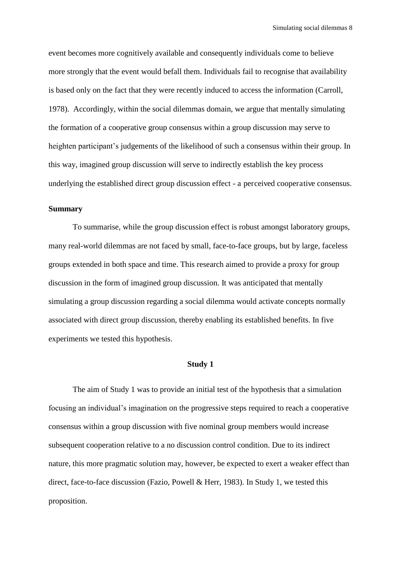event becomes more cognitively available and consequently individuals come to believe more strongly that the event would befall them. Individuals fail to recognise that availability is based only on the fact that they were recently induced to access the information (Carroll, 1978). Accordingly, within the social dilemmas domain, we argue that mentally simulating the formation of a cooperative group consensus within a group discussion may serve to heighten participant's judgements of the likelihood of such a consensus within their group. In this way, imagined group discussion will serve to indirectly establish the key process underlying the established direct group discussion effect - a perceived cooperative consensus.

#### **Summary**

To summarise, while the group discussion effect is robust amongst laboratory groups, many real-world dilemmas are not faced by small, face-to-face groups, but by large, faceless groups extended in both space and time. This research aimed to provide a proxy for group discussion in the form of imagined group discussion. It was anticipated that mentally simulating a group discussion regarding a social dilemma would activate concepts normally associated with direct group discussion, thereby enabling its established benefits. In five experiments we tested this hypothesis.

#### **Study 1**

The aim of Study 1 was to provide an initial test of the hypothesis that a simulation focusing an individual's imagination on the progressive steps required to reach a cooperative consensus within a group discussion with five nominal group members would increase subsequent cooperation relative to a no discussion control condition. Due to its indirect nature, this more pragmatic solution may, however, be expected to exert a weaker effect than direct, face-to-face discussion (Fazio, Powell & Herr, 1983). In Study 1, we tested this proposition.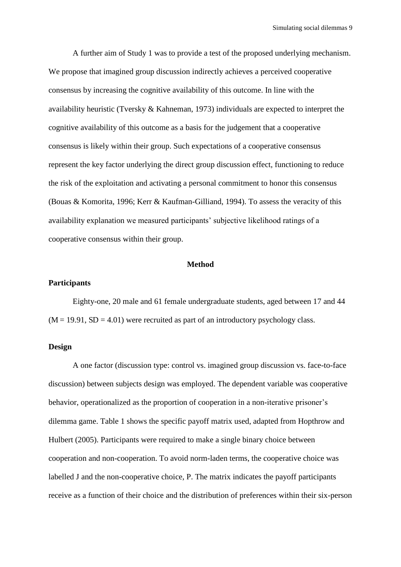A further aim of Study 1 was to provide a test of the proposed underlying mechanism. We propose that imagined group discussion indirectly achieves a perceived cooperative consensus by increasing the cognitive availability of this outcome. In line with the availability heuristic (Tversky & Kahneman, 1973) individuals are expected to interpret the cognitive availability of this outcome as a basis for the judgement that a cooperative consensus is likely within their group. Such expectations of a cooperative consensus represent the key factor underlying the direct group discussion effect, functioning to reduce the risk of the exploitation and activating a personal commitment to honor this consensus (Bouas & Komorita, 1996; Kerr & Kaufman-Gilliand, 1994). To assess the veracity of this availability explanation we measured participants' subjective likelihood ratings of a cooperative consensus within their group.

#### **Method**

#### **Participants**

Eighty-one, 20 male and 61 female undergraduate students, aged between 17 and 44  $(M = 19.91, SD = 4.01)$  were recruited as part of an introductory psychology class.

#### **Design**

A one factor (discussion type: control vs. imagined group discussion vs. face-to-face discussion) between subjects design was employed. The dependent variable was cooperative behavior, operationalized as the proportion of cooperation in a non-iterative prisoner's dilemma game. Table 1 shows the specific payoff matrix used, adapted from Hopthrow and Hulbert (2005). Participants were required to make a single binary choice between cooperation and non-cooperation. To avoid norm-laden terms, the cooperative choice was labelled J and the non-cooperative choice, P. The matrix indicates the payoff participants receive as a function of their choice and the distribution of preferences within their six-person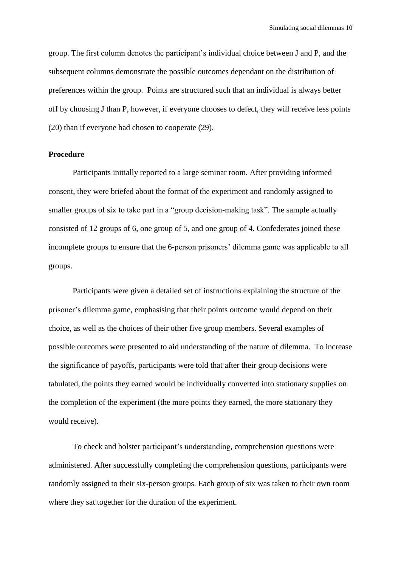group. The first column denotes the participant's individual choice between J and P, and the subsequent columns demonstrate the possible outcomes dependant on the distribution of preferences within the group. Points are structured such that an individual is always better off by choosing J than P, however, if everyone chooses to defect, they will receive less points (20) than if everyone had chosen to cooperate (29).

#### **Procedure**

Participants initially reported to a large seminar room. After providing informed consent, they were briefed about the format of the experiment and randomly assigned to smaller groups of six to take part in a "group decision-making task". The sample actually consisted of 12 groups of 6, one group of 5, and one group of 4. Confederates joined these incomplete groups to ensure that the 6-person prisoners' dilemma game was applicable to all groups.

Participants were given a detailed set of instructions explaining the structure of the prisoner's dilemma game, emphasising that their points outcome would depend on their choice, as well as the choices of their other five group members. Several examples of possible outcomes were presented to aid understanding of the nature of dilemma. To increase the significance of payoffs, participants were told that after their group decisions were tabulated, the points they earned would be individually converted into stationary supplies on the completion of the experiment (the more points they earned, the more stationary they would receive).

To check and bolster participant's understanding, comprehension questions were administered. After successfully completing the comprehension questions, participants were randomly assigned to their six-person groups. Each group of six was taken to their own room where they sat together for the duration of the experiment.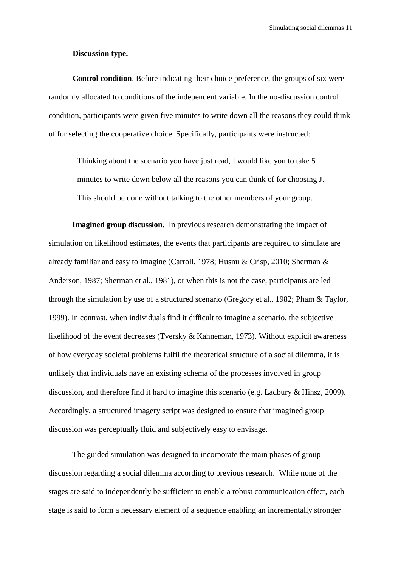#### **Discussion type.**

**Control condition**. Before indicating their choice preference, the groups of six were randomly allocated to conditions of the independent variable. In the no-discussion control condition, participants were given five minutes to write down all the reasons they could think of for selecting the cooperative choice. Specifically, participants were instructed:

Thinking about the scenario you have just read, I would like you to take 5 minutes to write down below all the reasons you can think of for choosing J. This should be done without talking to the other members of your group.

**Imagined group discussion.** In previous research demonstrating the impact of simulation on likelihood estimates, the events that participants are required to simulate are already familiar and easy to imagine (Carroll, 1978; Husnu & Crisp, 2010; Sherman & Anderson, 1987; Sherman et al., 1981), or when this is not the case, participants are led through the simulation by use of a structured scenario (Gregory et al., 1982; Pham & Taylor, 1999). In contrast, when individuals find it difficult to imagine a scenario, the subjective likelihood of the event decreases (Tversky & Kahneman, 1973). Without explicit awareness of how everyday societal problems fulfil the theoretical structure of a social dilemma, it is unlikely that individuals have an existing schema of the processes involved in group discussion, and therefore find it hard to imagine this scenario (e.g. Ladbury & Hinsz, 2009). Accordingly, a structured imagery script was designed to ensure that imagined group discussion was perceptually fluid and subjectively easy to envisage.

The guided simulation was designed to incorporate the main phases of group discussion regarding a social dilemma according to previous research. While none of the stages are said to independently be sufficient to enable a robust communication effect, each stage is said to form a necessary element of a sequence enabling an incrementally stronger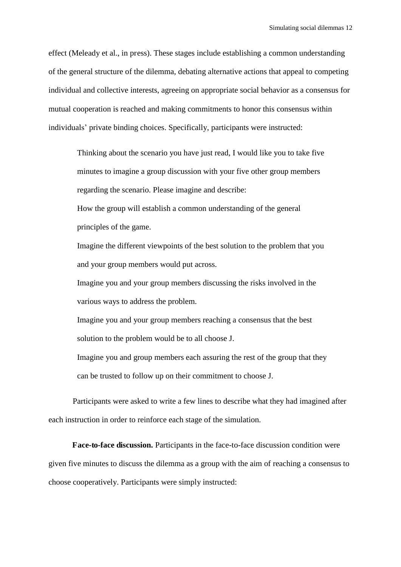effect (Meleady et al., in press). These stages include establishing a common understanding of the general structure of the dilemma, debating alternative actions that appeal to competing individual and collective interests, agreeing on appropriate social behavior as a consensus for mutual cooperation is reached and making commitments to honor this consensus within individuals' private binding choices. Specifically, participants were instructed:

Thinking about the scenario you have just read, I would like you to take five minutes to imagine a group discussion with your five other group members regarding the scenario. Please imagine and describe:

How the group will establish a common understanding of the general principles of the game.

Imagine the different viewpoints of the best solution to the problem that you and your group members would put across.

Imagine you and your group members discussing the risks involved in the various ways to address the problem.

Imagine you and your group members reaching a consensus that the best solution to the problem would be to all choose J.

Imagine you and group members each assuring the rest of the group that they can be trusted to follow up on their commitment to choose J.

Participants were asked to write a few lines to describe what they had imagined after each instruction in order to reinforce each stage of the simulation.

**Face-to-face discussion.** Participants in the face-to-face discussion condition were given five minutes to discuss the dilemma as a group with the aim of reaching a consensus to choose cooperatively. Participants were simply instructed: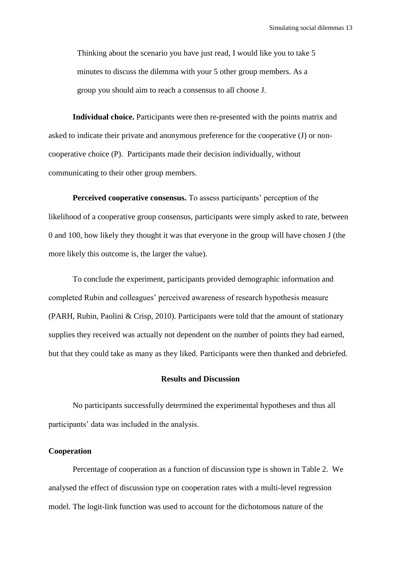Thinking about the scenario you have just read, I would like you to take 5 minutes to discuss the dilemma with your 5 other group members. As a group you should aim to reach a consensus to all choose J.

**Individual choice.** Participants were then re-presented with the points matrix and asked to indicate their private and anonymous preference for the cooperative (J) or noncooperative choice (P). Participants made their decision individually, without communicating to their other group members.

**Perceived cooperative consensus.** To assess participants' perception of the likelihood of a cooperative group consensus, participants were simply asked to rate, between 0 and 100, how likely they thought it was that everyone in the group will have chosen J (the more likely this outcome is, the larger the value).

To conclude the experiment, participants provided demographic information and completed Rubin and colleagues' perceived awareness of research hypothesis measure (PARH, Rubin, Paolini & Crisp, 2010). Participants were told that the amount of stationary supplies they received was actually not dependent on the number of points they had earned, but that they could take as many as they liked. Participants were then thanked and debriefed.

#### **Results and Discussion**

No participants successfully determined the experimental hypotheses and thus all participants' data was included in the analysis.

#### **Cooperation**

Percentage of cooperation as a function of discussion type is shown in Table 2. We analysed the effect of discussion type on cooperation rates with a multi-level regression model. The logit-link function was used to account for the dichotomous nature of the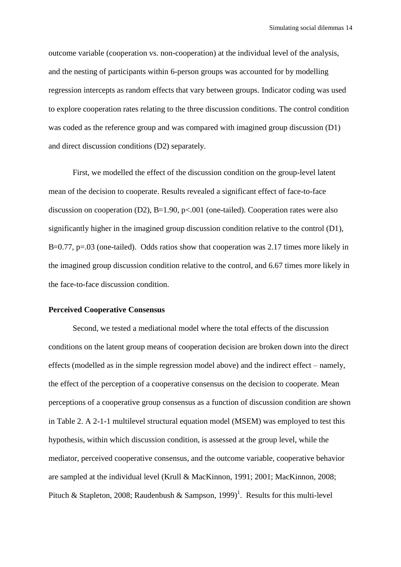outcome variable (cooperation vs. non-cooperation) at the individual level of the analysis, and the nesting of participants within 6-person groups was accounted for by modelling regression intercepts as random effects that vary between groups. Indicator coding was used to explore cooperation rates relating to the three discussion conditions. The control condition was coded as the reference group and was compared with imagined group discussion (D1) and direct discussion conditions (D2) separately.

First, we modelled the effect of the discussion condition on the group-level latent mean of the decision to cooperate. Results revealed a significant effect of face-to-face discussion on cooperation (D2),  $B=1.90$ ,  $p<.001$  (one-tailed). Cooperation rates were also significantly higher in the imagined group discussion condition relative to the control (D1), B=0.77, p=.03 (one-tailed). Odds ratios show that cooperation was 2.17 times more likely in the imagined group discussion condition relative to the control, and 6.67 times more likely in the face-to-face discussion condition.

#### **Perceived Cooperative Consensus**

Second, we tested a mediational model where the total effects of the discussion conditions on the latent group means of cooperation decision are broken down into the direct effects (modelled as in the simple regression model above) and the indirect effect – namely, the effect of the perception of a cooperative consensus on the decision to cooperate. Mean perceptions of a cooperative group consensus as a function of discussion condition are shown in Table 2. A 2-1-1 multilevel structural equation model (MSEM) was employed to test this hypothesis, within which discussion condition, is assessed at the group level, while the mediator, perceived cooperative consensus, and the outcome variable, cooperative behavior are sampled at the individual level (Krull & MacKinnon, 1991; 2001; MacKinnon, 2008; Pituch & Stapleton, 2008; Raudenbush & Sampson, 1999)<sup>1</sup>. Results for this multi-level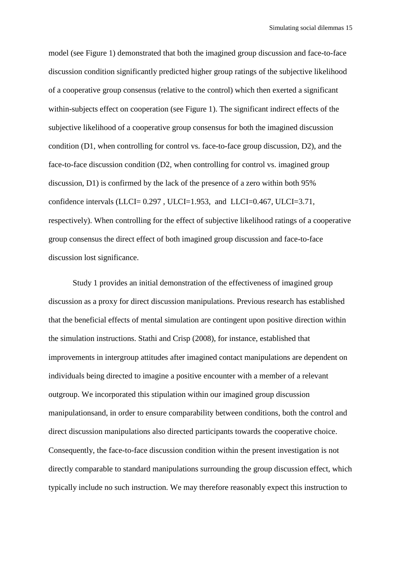model (see Figure 1) demonstrated that both the imagined group discussion and face-to-face discussion condition significantly predicted higher group ratings of the subjective likelihood of a cooperative group consensus (relative to the control) which then exerted a significant within-subjects effect on cooperation (see Figure 1). The significant indirect effects of the subjective likelihood of a cooperative group consensus for both the imagined discussion condition (D1, when controlling for control vs. face-to-face group discussion, D2), and the face-to-face discussion condition (D2, when controlling for control vs. imagined group discussion, D1) is confirmed by the lack of the presence of a zero within both 95% confidence intervals (LLCI= 0.297 , ULCI=1.953, and LLCI=0.467, ULCI=3.71, respectively). When controlling for the effect of subjective likelihood ratings of a cooperative group consensus the direct effect of both imagined group discussion and face-to-face discussion lost significance.

Study 1 provides an initial demonstration of the effectiveness of imagined group discussion as a proxy for direct discussion manipulations. Previous research has established that the beneficial effects of mental simulation are contingent upon positive direction within the simulation instructions. Stathi and Crisp (2008), for instance, established that improvements in intergroup attitudes after imagined contact manipulations are dependent on individuals being directed to imagine a positive encounter with a member of a relevant outgroup. We incorporated this stipulation within our imagined group discussion manipulationsand, in order to ensure comparability between conditions, both the control and direct discussion manipulations also directed participants towards the cooperative choice. Consequently, the face-to-face discussion condition within the present investigation is not directly comparable to standard manipulations surrounding the group discussion effect, which typically include no such instruction. We may therefore reasonably expect this instruction to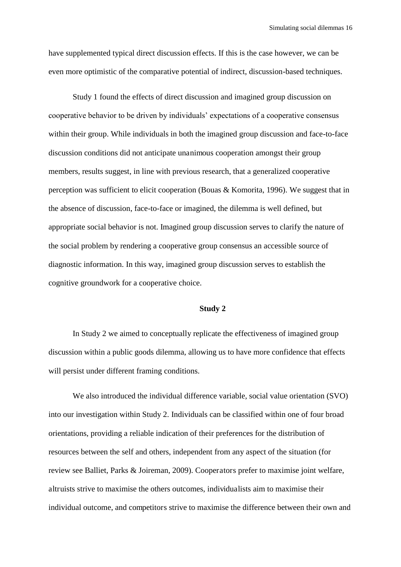have supplemented typical direct discussion effects. If this is the case however, we can be even more optimistic of the comparative potential of indirect, discussion-based techniques.

Study 1 found the effects of direct discussion and imagined group discussion on cooperative behavior to be driven by individuals' expectations of a cooperative consensus within their group. While individuals in both the imagined group discussion and face-to-face discussion conditions did not anticipate unanimous cooperation amongst their group members, results suggest, in line with previous research, that a generalized cooperative perception was sufficient to elicit cooperation (Bouas & Komorita, 1996). We suggest that in the absence of discussion, face-to-face or imagined, the dilemma is well defined, but appropriate social behavior is not. Imagined group discussion serves to clarify the nature of the social problem by rendering a cooperative group consensus an accessible source of diagnostic information. In this way, imagined group discussion serves to establish the cognitive groundwork for a cooperative choice.

#### **Study 2**

In Study 2 we aimed to conceptually replicate the effectiveness of imagined group discussion within a public goods dilemma, allowing us to have more confidence that effects will persist under different framing conditions.

We also introduced the individual difference variable, social value orientation (SVO) into our investigation within Study 2. Individuals can be classified within one of four broad orientations, providing a reliable indication of their preferences for the distribution of resources between the self and others, independent from any aspect of the situation (for review see Balliet, Parks & Joireman, 2009). Cooperators prefer to maximise joint welfare, altruists strive to maximise the others outcomes, individualists aim to maximise their individual outcome, and competitors strive to maximise the difference between their own and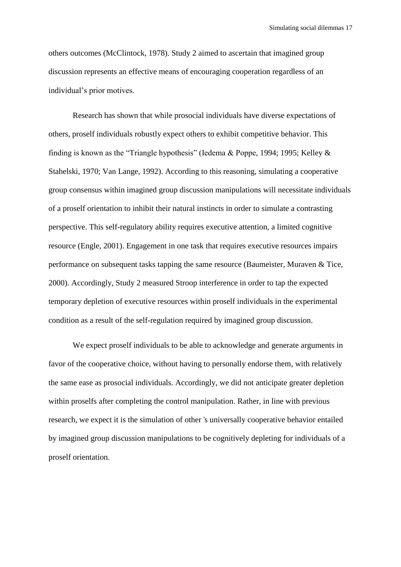others outcomes (McClintock, 1978). Study 2 aimed to ascertain that imagined group discussion represents an effective means of encouraging cooperation regardless of an individual's prior motives.

Research has shown that while prosocial individuals have diverse expectations of others, proself individuals robustly expect others to exhibit competitive behavior. This finding is known as the "Triangle hypothesis" (Iedema & Poppe, 1994; 1995; Kelley & Stahelski, 1970; Van Lange, 1992). According to this reasoning, simulating a cooperative group consensus within imagined group discussion manipulations will necessitate individuals of a proself orientation to inhibit their natural instincts in order to simulate a contrasting perspective. This self-regulatory ability requires executive attention, a limited cognitive resource (Engle, 2001). Engagement in one task that requires executive resources impairs performance on subsequent tasks tapping the same resource (Baumeister, Muraven & Tice, 2000). Accordingly, Study 2 measured Stroop interference in order to tap the expected temporary depletion of executive resources within proself individuals in the experimental condition as a result of the self-regulation required by imagined group discussion.

We expect proself individuals to be able to acknowledge and generate arguments in favor of the cooperative choice, without having to personally endorse them, with relatively the same ease as prosocial individuals. Accordingly, we did not anticipate greater depletion within proselfs after completing the control manipulation. Rather, in line with previous research, we expect it is the simulation of other*'*s universally cooperative behavior entailed by imagined group discussion manipulations to be cognitively depleting for individuals of a proself orientation.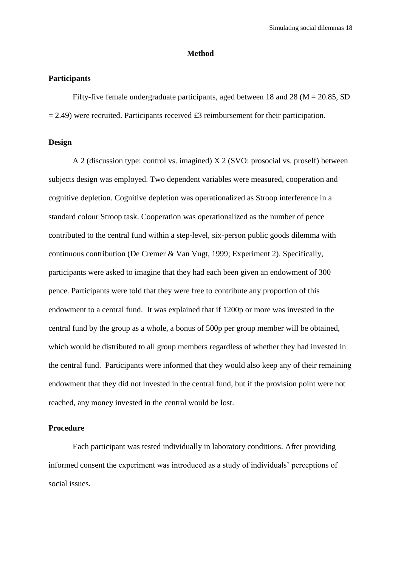#### **Method**

#### **Participants**

Fifty-five female undergraduate participants, aged between 18 and 28 ( $M = 20.85$ , SD  $= 2.49$ ) were recruited. Participants received £3 reimbursement for their participation.

#### **Design**

A 2 (discussion type: control vs. imagined) X 2 (SVO: prosocial vs. proself) between subjects design was employed. Two dependent variables were measured, cooperation and cognitive depletion. Cognitive depletion was operationalized as Stroop interference in a standard colour Stroop task. Cooperation was operationalized as the number of pence contributed to the central fund within a step-level, six-person public goods dilemma with continuous contribution (De Cremer & Van Vugt, 1999; Experiment 2). Specifically, participants were asked to imagine that they had each been given an endowment of 300 pence. Participants were told that they were free to contribute any proportion of this endowment to a central fund. It was explained that if 1200p or more was invested in the central fund by the group as a whole, a bonus of 500p per group member will be obtained, which would be distributed to all group members regardless of whether they had invested in the central fund. Participants were informed that they would also keep any of their remaining endowment that they did not invested in the central fund, but if the provision point were not reached, any money invested in the central would be lost.

#### **Procedure**

Each participant was tested individually in laboratory conditions. After providing informed consent the experiment was introduced as a study of individuals' perceptions of social issues.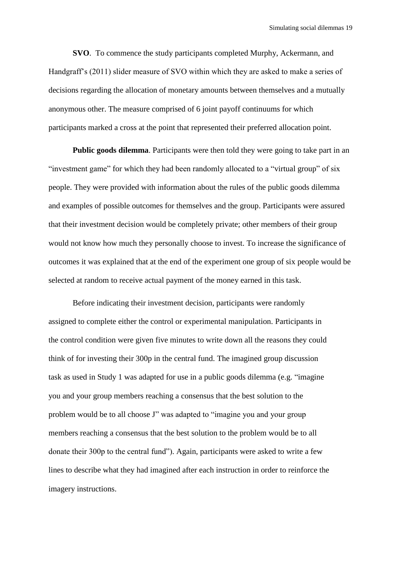**SVO**. To commence the study participants completed Murphy, Ackermann, and Handgraff's (2011) slider measure of SVO within which they are asked to make a series of decisions regarding the allocation of monetary amounts between themselves and a mutually anonymous other. The measure comprised of 6 joint payoff continuums for which participants marked a cross at the point that represented their preferred allocation point.

**Public goods dilemma**. Participants were then told they were going to take part in an "investment game" for which they had been randomly allocated to a "virtual group" of six people. They were provided with information about the rules of the public goods dilemma and examples of possible outcomes for themselves and the group. Participants were assured that their investment decision would be completely private; other members of their group would not know how much they personally choose to invest. To increase the significance of outcomes it was explained that at the end of the experiment one group of six people would be selected at random to receive actual payment of the money earned in this task.

Before indicating their investment decision, participants were randomly assigned to complete either the control or experimental manipulation. Participants in the control condition were given five minutes to write down all the reasons they could think of for investing their 300p in the central fund. The imagined group discussion task as used in Study 1 was adapted for use in a public goods dilemma (e.g. "imagine you and your group members reaching a consensus that the best solution to the problem would be to all choose J" was adapted to "imagine you and your group members reaching a consensus that the best solution to the problem would be to all donate their 300p to the central fund"). Again, participants were asked to write a few lines to describe what they had imagined after each instruction in order to reinforce the imagery instructions.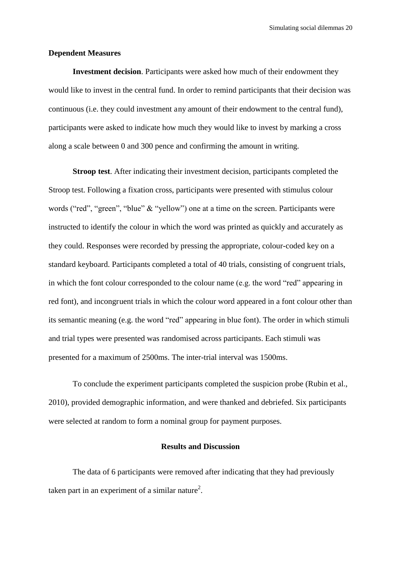#### **Dependent Measures**

**Investment decision**. Participants were asked how much of their endowment they would like to invest in the central fund. In order to remind participants that their decision was continuous (i.e. they could investment any amount of their endowment to the central fund), participants were asked to indicate how much they would like to invest by marking a cross along a scale between 0 and 300 pence and confirming the amount in writing.

**Stroop test**. After indicating their investment decision, participants completed the Stroop test. Following a fixation cross, participants were presented with stimulus colour words ("red", "green", "blue" & "yellow") one at a time on the screen. Participants were instructed to identify the colour in which the word was printed as quickly and accurately as they could. Responses were recorded by pressing the appropriate, colour-coded key on a standard keyboard. Participants completed a total of 40 trials, consisting of congruent trials, in which the font colour corresponded to the colour name (e.g. the word "red" appearing in red font), and incongruent trials in which the colour word appeared in a font colour other than its semantic meaning (e.g. the word "red" appearing in blue font). The order in which stimuli and trial types were presented was randomised across participants. Each stimuli was presented for a maximum of 2500ms. The inter-trial interval was 1500ms.

To conclude the experiment participants completed the suspicion probe (Rubin et al., 2010), provided demographic information, and were thanked and debriefed. Six participants were selected at random to form a nominal group for payment purposes.

#### **Results and Discussion**

The data of 6 participants were removed after indicating that they had previously taken part in an experiment of a similar nature<sup>2</sup>.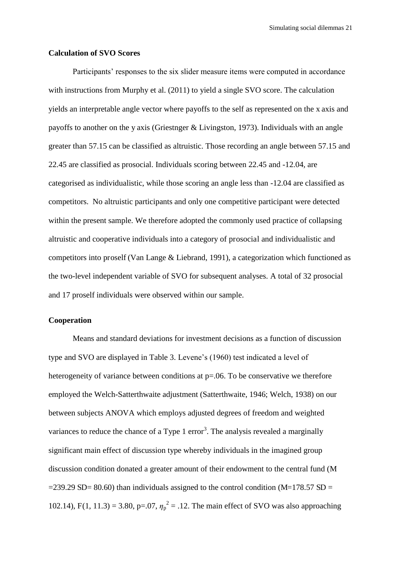#### **Calculation of SVO Scores**

Participants' responses to the six slider measure items were computed in accordance with instructions from Murphy et al. (2011) to yield a single SVO score. The calculation yields an interpretable angle vector where payoffs to the self as represented on the x axis and payoffs to another on the y axis (Griestnger & Livingston, 1973). Individuals with an angle greater than 57.15 can be classified as altruistic. Those recording an angle between 57.15 and 22.45 are classified as prosocial. Individuals scoring between 22.45 and -12.04, are categorised as individualistic, while those scoring an angle less than -12.04 are classified as competitors. No altruistic participants and only one competitive participant were detected within the present sample. We therefore adopted the commonly used practice of collapsing altruistic and cooperative individuals into a category of prosocial and individualistic and competitors into proself (Van Lange & Liebrand, 1991), a categorization which functioned as the two-level independent variable of SVO for subsequent analyses. A total of 32 prosocial and 17 proself individuals were observed within our sample.

#### **Cooperation**

Means and standard deviations for investment decisions as a function of discussion type and SVO are displayed in Table 3. Levene's (1960) test indicated a level of heterogeneity of variance between conditions at  $p=0.06$ . To be conservative we therefore employed the Welch-Satterthwaite adjustment (Satterthwaite, 1946; Welch, 1938) on our between subjects ANOVA which employs adjusted degrees of freedom and weighted variances to reduce the chance of a Type 1 error<sup>3</sup>. The analysis revealed a marginally significant main effect of discussion type whereby individuals in the imagined group discussion condition donated a greater amount of their endowment to the central fund (M  $=$  239.29 SD= 80.60) than individuals assigned to the control condition (M=178.57 SD = 102.14), F(1, 11.3) = 3.80, p=.07,  $\eta_p^2$  = .12. The main effect of SVO was also approaching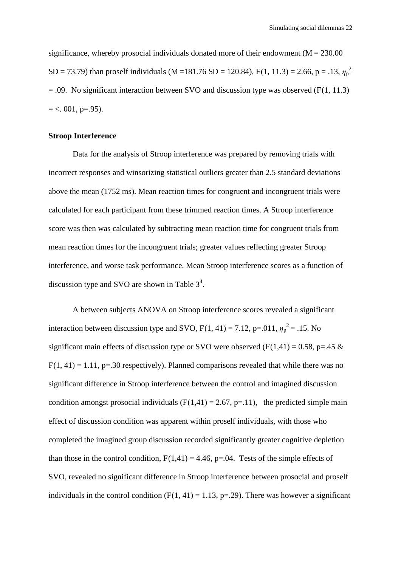significance, whereby prosocial individuals donated more of their endowment ( $M = 230.00$ ) SD = 73.79) than proself individuals (M = 181.76 SD = 120.84), F(1, 11.3) = 2.66, p = .13,  $\eta_p^2$  $= .09$ . No significant interaction between SVO and discussion type was observed (F(1, 11.3)  $=$  <. 001, p=.95).

#### **Stroop Interference**

 Data for the analysis of Stroop interference was prepared by removing trials with incorrect responses and winsorizing statistical outliers greater than 2.5 standard deviations above the mean (1752 ms). Mean reaction times for congruent and incongruent trials were calculated for each participant from these trimmed reaction times. A Stroop interference score was then was calculated by subtracting mean reaction time for congruent trials from mean reaction times for the incongruent trials; greater values reflecting greater Stroop interference, and worse task performance. Mean Stroop interference scores as a function of discussion type and SVO are shown in Table  $3<sup>4</sup>$ .

A between subjects ANOVA on Stroop interference scores revealed a significant interaction between discussion type and SVO,  $F(1, 41) = 7.12$ , p=.011,  $\eta_p^2 = .15$ . No significant main effects of discussion type or SVO were observed (F(1,41) = 0.58, p=.45  $\&$  $F(1, 41) = 1.11$ , p=.30 respectively). Planned comparisons revealed that while there was no significant difference in Stroop interference between the control and imagined discussion condition amongst prosocial individuals  $(F(1,41) = 2.67, p=0.11)$ , the predicted simple main effect of discussion condition was apparent within proself individuals, with those who completed the imagined group discussion recorded significantly greater cognitive depletion than those in the control condition,  $F(1,41) = 4.46$ , p=.04. Tests of the simple effects of SVO, revealed no significant difference in Stroop interference between prosocial and proself individuals in the control condition (F(1, 41) = 1.13, p=.29). There was however a significant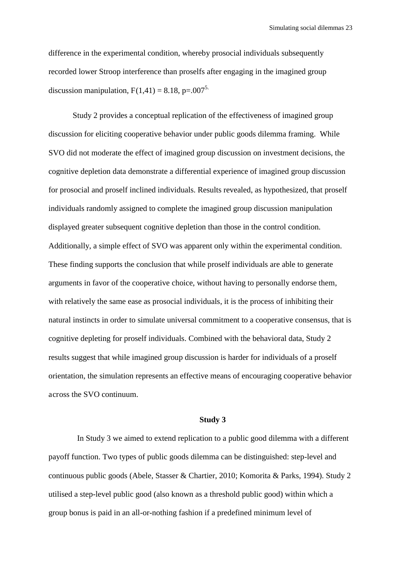difference in the experimental condition, whereby prosocial individuals subsequently recorded lower Stroop interference than proselfs after engaging in the imagined group discussion manipulation,  $F(1.41) = 8.18$ , p=.007<sup>5.</sup>

Study 2 provides a conceptual replication of the effectiveness of imagined group discussion for eliciting cooperative behavior under public goods dilemma framing. While SVO did not moderate the effect of imagined group discussion on investment decisions, the cognitive depletion data demonstrate a differential experience of imagined group discussion for prosocial and proself inclined individuals. Results revealed, as hypothesized, that proself individuals randomly assigned to complete the imagined group discussion manipulation displayed greater subsequent cognitive depletion than those in the control condition. Additionally, a simple effect of SVO was apparent only within the experimental condition. These finding supports the conclusion that while proself individuals are able to generate arguments in favor of the cooperative choice, without having to personally endorse them, with relatively the same ease as prosocial individuals, it is the process of inhibiting their natural instincts in order to simulate universal commitment to a cooperative consensus, that is cognitive depleting for proself individuals. Combined with the behavioral data, Study 2 results suggest that while imagined group discussion is harder for individuals of a proself orientation, the simulation represents an effective means of encouraging cooperative behavior across the SVO continuum.

#### **Study 3**

 In Study 3 we aimed to extend replication to a public good dilemma with a different payoff function. Two types of public goods dilemma can be distinguished: step-level and continuous public goods (Abele, Stasser & Chartier, 2010; Komorita & Parks, 1994). Study 2 utilised a step-level public good (also known as a threshold public good) within which a group bonus is paid in an all-or-nothing fashion if a predefined minimum level of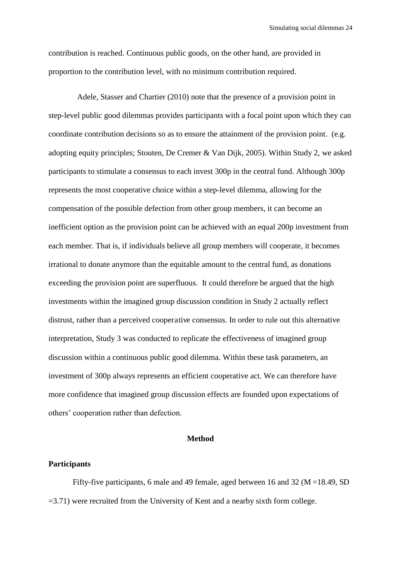contribution is reached. Continuous public goods, on the other hand, are provided in proportion to the contribution level, with no minimum contribution required.

 Adele, Stasser and Chartier (2010) note that the presence of a provision point in step-level public good dilemmas provides participants with a focal point upon which they can coordinate contribution decisions so as to ensure the attainment of the provision point. (e.g. adopting equity principles; Stouten, De Cremer & Van Dijk, 2005). Within Study 2, we asked participants to stimulate a consensus to each invest 300p in the central fund. Although 300p represents the most cooperative choice within a step-level dilemma, allowing for the compensation of the possible defection from other group members, it can become an inefficient option as the provision point can be achieved with an equal 200p investment from each member. That is, if individuals believe all group members will cooperate, it becomes irrational to donate anymore than the equitable amount to the central fund, as donations exceeding the provision point are superfluous. It could therefore be argued that the high investments within the imagined group discussion condition in Study 2 actually reflect distrust, rather than a perceived cooperative consensus. In order to rule out this alternative interpretation, Study 3 was conducted to replicate the effectiveness of imagined group discussion within a continuous public good dilemma. Within these task parameters, an investment of 300p always represents an efficient cooperative act. We can therefore have more confidence that imagined group discussion effects are founded upon expectations of others' cooperation rather than defection.

#### **Method**

#### **Participants**

Fifty-five participants, 6 male and 49 female, aged between 16 and 32 (M =18.49, SD =3.71) were recruited from the University of Kent and a nearby sixth form college.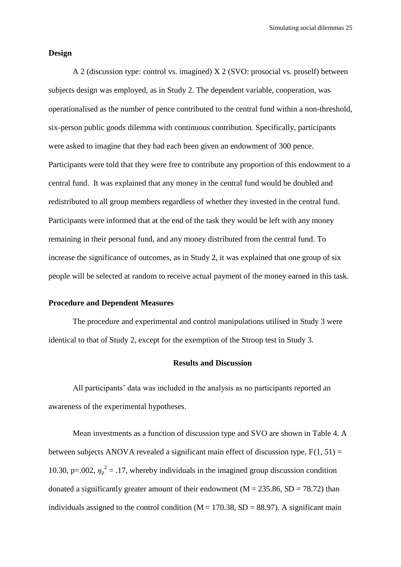#### **Design**

A 2 (discussion type: control vs. imagined) X 2 (SVO: prosocial vs. proself) between subjects design was employed, as in Study 2. The dependent variable, cooperation, was operationalised as the number of pence contributed to the central fund within a non-threshold, six-person public goods dilemma with continuous contribution. Specifically, participants were asked to imagine that they had each been given an endowment of 300 pence. Participants were told that they were free to contribute any proportion of this endowment to a central fund. It was explained that any money in the central fund would be doubled and redistributed to all group members regardless of whether they invested in the central fund. Participants were informed that at the end of the task they would be left with any money remaining in their personal fund, and any money distributed from the central fund. To increase the significance of outcomes, as in Study 2, it was explained that one group of six people will be selected at random to receive actual payment of the money earned in this task.

#### **Procedure and Dependent Measures**

 The procedure and experimental and control manipulations utilised in Study 3 were identical to that of Study 2, except for the exemption of the Stroop test in Study 3.

#### **Results and Discussion**

All participants' data was included in the analysis as no participants reported an awareness of the experimental hypotheses.

Mean investments as a function of discussion type and SVO are shown in Table 4. A between subjects ANOVA revealed a significant main effect of discussion type,  $F(1, 51) =$ 10.30, p=.002,  $\eta_p^2$  = .17, whereby individuals in the imagined group discussion condition donated a significantly greater amount of their endowment ( $M = 235.86$ ,  $SD = 78.72$ ) than individuals assigned to the control condition ( $M = 170.38$ ,  $SD = 88.97$ ). A significant main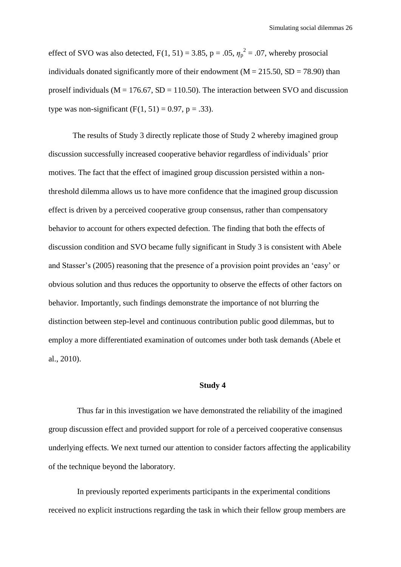effect of SVO was also detected,  $F(1, 51) = 3.85$ ,  $p = .05$ ,  $\eta_p^2 = .07$ , whereby prosocial individuals donated significantly more of their endowment  $(M = 215.50, SD = 78.90)$  than proself individuals ( $M = 176.67$ ,  $SD = 110.50$ ). The interaction between SVO and discussion type was non-significant  $(F(1, 51) = 0.97, p = .33)$ .

The results of Study 3 directly replicate those of Study 2 whereby imagined group discussion successfully increased cooperative behavior regardless of individuals' prior motives. The fact that the effect of imagined group discussion persisted within a nonthreshold dilemma allows us to have more confidence that the imagined group discussion effect is driven by a perceived cooperative group consensus, rather than compensatory behavior to account for others expected defection. The finding that both the effects of discussion condition and SVO became fully significant in Study 3 is consistent with Abele and Stasser's (2005) reasoning that the presence of a provision point provides an 'easy' or obvious solution and thus reduces the opportunity to observe the effects of other factors on behavior. Importantly, such findings demonstrate the importance of not blurring the distinction between step-level and continuous contribution public good dilemmas, but to employ a more differentiated examination of outcomes under both task demands (Abele et al., 2010).

#### **Study 4**

 Thus far in this investigation we have demonstrated the reliability of the imagined group discussion effect and provided support for role of a perceived cooperative consensus underlying effects. We next turned our attention to consider factors affecting the applicability of the technique beyond the laboratory.

 In previously reported experiments participants in the experimental conditions received no explicit instructions regarding the task in which their fellow group members are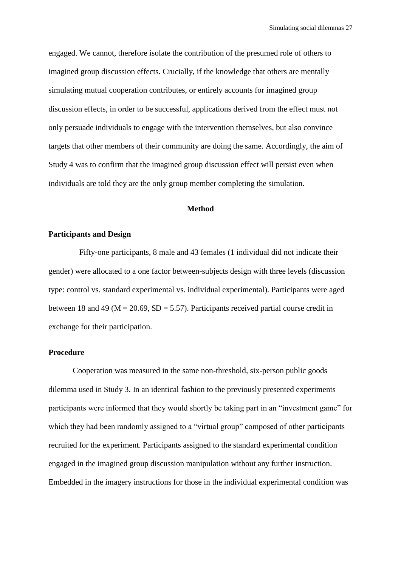engaged. We cannot, therefore isolate the contribution of the presumed role of others to imagined group discussion effects. Crucially, if the knowledge that others are mentally simulating mutual cooperation contributes, or entirely accounts for imagined group discussion effects, in order to be successful, applications derived from the effect must not only persuade individuals to engage with the intervention themselves, but also convince targets that other members of their community are doing the same. Accordingly, the aim of Study 4 was to confirm that the imagined group discussion effect will persist even when individuals are told they are the only group member completing the simulation.

#### **Method**

#### **Participants and Design**

 Fifty-one participants, 8 male and 43 females (1 individual did not indicate their gender) were allocated to a one factor between-subjects design with three levels (discussion type: control vs. standard experimental vs. individual experimental). Participants were aged between 18 and 49 ( $M = 20.69$ ,  $SD = 5.57$ ). Participants received partial course credit in exchange for their participation.

#### **Procedure**

Cooperation was measured in the same non-threshold, six-person public goods dilemma used in Study 3. In an identical fashion to the previously presented experiments participants were informed that they would shortly be taking part in an "investment game" for which they had been randomly assigned to a "virtual group" composed of other participants recruited for the experiment. Participants assigned to the standard experimental condition engaged in the imagined group discussion manipulation without any further instruction. Embedded in the imagery instructions for those in the individual experimental condition was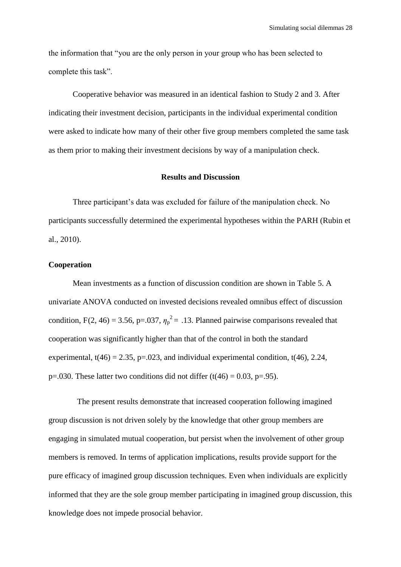the information that "you are the only person in your group who has been selected to complete this task".

Cooperative behavior was measured in an identical fashion to Study 2 and 3. After indicating their investment decision, participants in the individual experimental condition were asked to indicate how many of their other five group members completed the same task as them prior to making their investment decisions by way of a manipulation check.

#### **Results and Discussion**

Three participant's data was excluded for failure of the manipulation check. No participants successfully determined the experimental hypotheses within the PARH (Rubin et al., 2010).

#### **Cooperation**

Mean investments as a function of discussion condition are shown in Table 5. A univariate ANOVA conducted on invested decisions revealed omnibus effect of discussion condition,  $F(2, 46) = 3.56$ , p=.037,  $\eta_p^2 = .13$ . Planned pairwise comparisons revealed that cooperation was significantly higher than that of the control in both the standard experimental,  $t(46) = 2.35$ , p=.023, and individual experimental condition,  $t(46)$ , 2.24, p=.030. These latter two conditions did not differ  $(t(46) = 0.03, p=.95)$ .

The present results demonstrate that increased cooperation following imagined group discussion is not driven solely by the knowledge that other group members are engaging in simulated mutual cooperation, but persist when the involvement of other group members is removed. In terms of application implications, results provide support for the pure efficacy of imagined group discussion techniques. Even when individuals are explicitly informed that they are the sole group member participating in imagined group discussion, this knowledge does not impede prosocial behavior.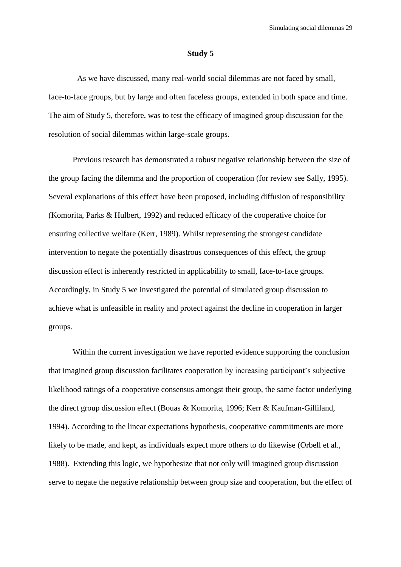#### **Study 5**

 As we have discussed, many real-world social dilemmas are not faced by small, face-to-face groups, but by large and often faceless groups, extended in both space and time. The aim of Study 5, therefore, was to test the efficacy of imagined group discussion for the resolution of social dilemmas within large-scale groups.

Previous research has demonstrated a robust negative relationship between the size of the group facing the dilemma and the proportion of cooperation (for review see Sally, 1995). Several explanations of this effect have been proposed, including diffusion of responsibility (Komorita, Parks & Hulbert, 1992) and reduced efficacy of the cooperative choice for ensuring collective welfare (Kerr, 1989). Whilst representing the strongest candidate intervention to negate the potentially disastrous consequences of this effect, the group discussion effect is inherently restricted in applicability to small, face-to-face groups. Accordingly, in Study 5 we investigated the potential of simulated group discussion to achieve what is unfeasible in reality and protect against the decline in cooperation in larger groups.

Within the current investigation we have reported evidence supporting the conclusion that imagined group discussion facilitates cooperation by increasing participant's subjective likelihood ratings of a cooperative consensus amongst their group, the same factor underlying the direct group discussion effect (Bouas & Komorita, 1996; Kerr & Kaufman-Gilliland, 1994). According to the linear expectations hypothesis, cooperative commitments are more likely to be made, and kept, as individuals expect more others to do likewise (Orbell et al., 1988). Extending this logic, we hypothesize that not only will imagined group discussion serve to negate the negative relationship between group size and cooperation, but the effect of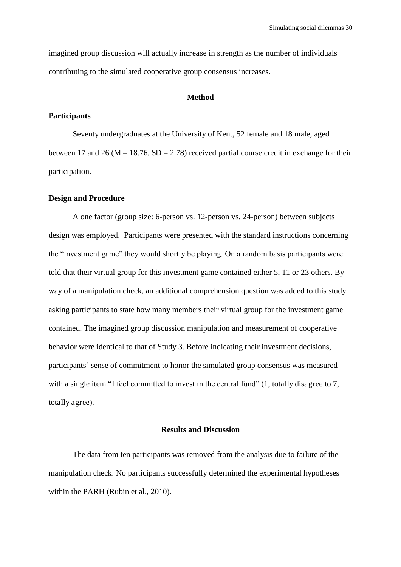imagined group discussion will actually increase in strength as the number of individuals contributing to the simulated cooperative group consensus increases.

#### **Method**

#### **Participants**

Seventy undergraduates at the University of Kent, 52 female and 18 male, aged between 17 and 26 ( $M = 18.76$ ,  $SD = 2.78$ ) received partial course credit in exchange for their participation.

#### **Design and Procedure**

A one factor (group size: 6-person vs. 12-person vs. 24-person) between subjects design was employed. Participants were presented with the standard instructions concerning the "investment game" they would shortly be playing. On a random basis participants were told that their virtual group for this investment game contained either 5, 11 or 23 others. By way of a manipulation check, an additional comprehension question was added to this study asking participants to state how many members their virtual group for the investment game contained. The imagined group discussion manipulation and measurement of cooperative behavior were identical to that of Study 3. Before indicating their investment decisions, participants' sense of commitment to honor the simulated group consensus was measured with a single item "I feel committed to invest in the central fund" (1, totally disagree to 7, totally agree).

#### **Results and Discussion**

The data from ten participants was removed from the analysis due to failure of the manipulation check. No participants successfully determined the experimental hypotheses within the PARH (Rubin et al., 2010).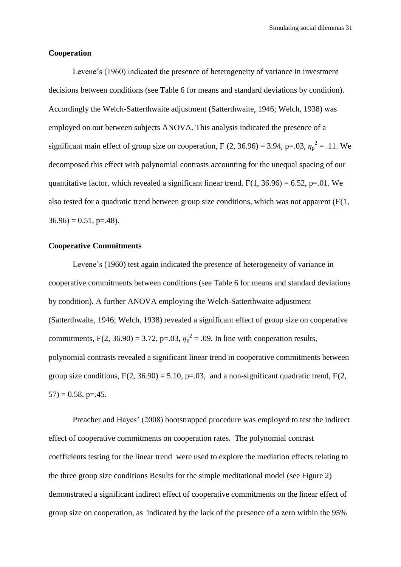#### **Cooperation**

Levene's (1960) indicated the presence of heterogeneity of variance in investment decisions between conditions (see Table 6 for means and standard deviations by condition). Accordingly the Welch-Satterthwaite adjustment (Satterthwaite, 1946; Welch, 1938) was employed on our between subjects ANOVA. This analysis indicated the presence of a significant main effect of group size on cooperation, F  $(2, 36.96) = 3.94$ , p=.03,  $\eta_p^2 = .11$ . We decomposed this effect with polynomial contrasts accounting for the unequal spacing of our quantitative factor, which revealed a significant linear trend,  $F(1, 36.96) = 6.52$ , p=.01. We also tested for a quadratic trend between group size conditions, which was not apparent (F(1,  $36.96$ ) = 0.51, p=.48).

#### **Cooperative Commitments**

Levene's (1960) test again indicated the presence of heterogeneity of variance in cooperative commitments between conditions (see Table 6 for means and standard deviations by condition). A further ANOVA employing the Welch-Satterthwaite adjustment (Satterthwaite, 1946; Welch, 1938) revealed a significant effect of group size on cooperative commitments,  $F(2, 36.90) = 3.72$ ,  $p=.03$ ,  $\eta_p^2 = .09$ . In line with cooperation results, polynomial contrasts revealed a significant linear trend in cooperative commitments between group size conditions,  $F(2, 36.90) = 5.10$ ,  $p=.03$ , and a non-significant quadratic trend,  $F(2, 10.90) = 5.10$ ,  $p=.03$ , and a non-significant quadratic trend,  $F(2, 10.90) = 5.10$ ,  $p=.03$ , and a non-significant quadratic t  $57$ ) = 0.58, p=.45.

Preacher and Hayes' (2008) bootstrapped procedure was employed to test the indirect effect of cooperative commitments on cooperation rates. The polynomial contrast coefficients testing for the linear trend were used to explore the mediation effects relating to the three group size conditions Results for the simple meditational model (see Figure 2) demonstrated a significant indirect effect of cooperative commitments on the linear effect of group size on cooperation, as indicated by the lack of the presence of a zero within the 95%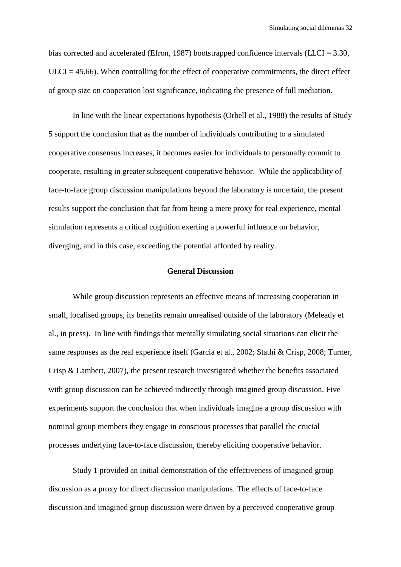bias corrected and accelerated (Efron, 1987) bootstrapped confidence intervals (LLCI = 3.30,  $ULCI = 45.66$ . When controlling for the effect of cooperative commitments, the direct effect of group size on cooperation lost significance, indicating the presence of full mediation.

In line with the linear expectations hypothesis (Orbell et al., 1988) the results of Study 5 support the conclusion that as the number of individuals contributing to a simulated cooperative consensus increases, it becomes easier for individuals to personally commit to cooperate, resulting in greater subsequent cooperative behavior. While the applicability of face-to-face group discussion manipulations beyond the laboratory is uncertain, the present results support the conclusion that far from being a mere proxy for real experience, mental simulation represents a critical cognition exerting a powerful influence on behavior, diverging, and in this case, exceeding the potential afforded by reality.

#### **General Discussion**

While group discussion represents an effective means of increasing cooperation in small, localised groups, its benefits remain unrealised outside of the laboratory (Meleady et al., in press). In line with findings that mentally simulating social situations can elicit the same responses as the real experience itself (Garcia et al., 2002; Stathi & Crisp, 2008; Turner, Crisp & Lambert, 2007), the present research investigated whether the benefits associated with group discussion can be achieved indirectly through imagined group discussion. Five experiments support the conclusion that when individuals imagine a group discussion with nominal group members they engage in conscious processes that parallel the crucial processes underlying face-to-face discussion, thereby eliciting cooperative behavior.

Study 1 provided an initial demonstration of the effectiveness of imagined group discussion as a proxy for direct discussion manipulations. The effects of face-to-face discussion and imagined group discussion were driven by a perceived cooperative group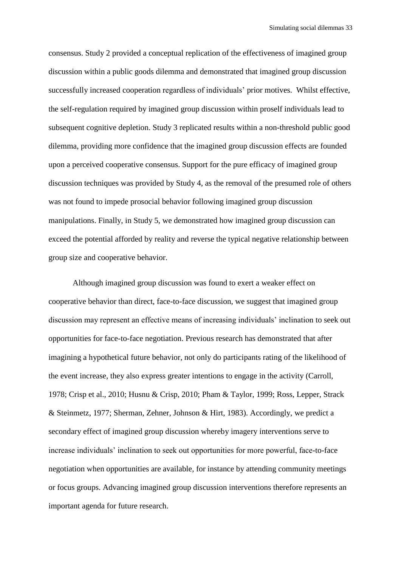consensus. Study 2 provided a conceptual replication of the effectiveness of imagined group discussion within a public goods dilemma and demonstrated that imagined group discussion successfully increased cooperation regardless of individuals' prior motives. Whilst effective, the self-regulation required by imagined group discussion within proself individuals lead to subsequent cognitive depletion. Study 3 replicated results within a non-threshold public good dilemma, providing more confidence that the imagined group discussion effects are founded upon a perceived cooperative consensus. Support for the pure efficacy of imagined group discussion techniques was provided by Study 4, as the removal of the presumed role of others was not found to impede prosocial behavior following imagined group discussion manipulations. Finally, in Study 5, we demonstrated how imagined group discussion can exceed the potential afforded by reality and reverse the typical negative relationship between group size and cooperative behavior.

Although imagined group discussion was found to exert a weaker effect on cooperative behavior than direct, face-to-face discussion, we suggest that imagined group discussion may represent an effective means of increasing individuals' inclination to seek out opportunities for face-to-face negotiation. Previous research has demonstrated that after imagining a hypothetical future behavior, not only do participants rating of the likelihood of the event increase, they also express greater intentions to engage in the activity (Carroll, 1978; Crisp et al., 2010; Husnu & Crisp, 2010; Pham & Taylor, 1999; Ross, Lepper, Strack & Steinmetz, 1977; Sherman, Zehner, Johnson & Hirt, 1983). Accordingly, we predict a secondary effect of imagined group discussion whereby imagery interventions serve to increase individuals' inclination to seek out opportunities for more powerful, face-to-face negotiation when opportunities are available, for instance by attending community meetings or focus groups. Advancing imagined group discussion interventions therefore represents an important agenda for future research.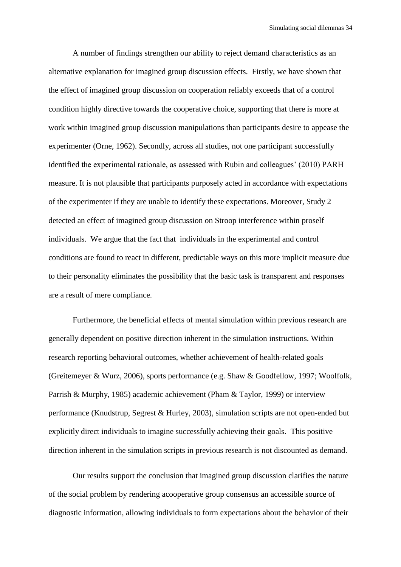A number of findings strengthen our ability to reject demand characteristics as an alternative explanation for imagined group discussion effects. Firstly, we have shown that the effect of imagined group discussion on cooperation reliably exceeds that of a control condition highly directive towards the cooperative choice, supporting that there is more at work within imagined group discussion manipulations than participants desire to appease the experimenter (Orne, 1962). Secondly, across all studies, not one participant successfully identified the experimental rationale, as assessed with Rubin and colleagues' (2010) PARH measure. It is not plausible that participants purposely acted in accordance with expectations of the experimenter if they are unable to identify these expectations. Moreover, Study 2 detected an effect of imagined group discussion on Stroop interference within proself individuals. We argue that the fact that individuals in the experimental and control conditions are found to react in different, predictable ways on this more implicit measure due to their personality eliminates the possibility that the basic task is transparent and responses are a result of mere compliance.

Furthermore, the beneficial effects of mental simulation within previous research are generally dependent on positive direction inherent in the simulation instructions. Within research reporting behavioral outcomes, whether achievement of health-related goals (Greitemeyer & Wurz, 2006), sports performance (e.g. Shaw & Goodfellow, 1997; Woolfolk, Parrish & Murphy, 1985) academic achievement (Pham & Taylor, 1999) or interview performance (Knudstrup, Segrest & Hurley, 2003), simulation scripts are not open-ended but explicitly direct individuals to imagine successfully achieving their goals. This positive direction inherent in the simulation scripts in previous research is not discounted as demand.

Our results support the conclusion that imagined group discussion clarifies the nature of the social problem by rendering acooperative group consensus an accessible source of diagnostic information, allowing individuals to form expectations about the behavior of their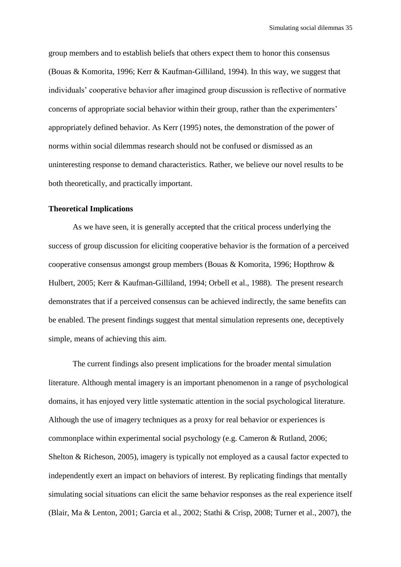group members and to establish beliefs that others expect them to honor this consensus (Bouas & Komorita, 1996; Kerr & Kaufman-Gilliland, 1994). In this way, we suggest that individuals' cooperative behavior after imagined group discussion is reflective of normative concerns of appropriate social behavior within their group, rather than the experimenters' appropriately defined behavior. As Kerr (1995) notes, the demonstration of the power of norms within social dilemmas research should not be confused or dismissed as an uninteresting response to demand characteristics. Rather, we believe our novel results to be both theoretically, and practically important.

#### **Theoretical Implications**

As we have seen, it is generally accepted that the critical process underlying the success of group discussion for eliciting cooperative behavior is the formation of a perceived cooperative consensus amongst group members (Bouas & Komorita, 1996; Hopthrow & Hulbert, 2005; Kerr & Kaufman-Gilliland, 1994; Orbell et al., 1988). The present research demonstrates that if a perceived consensus can be achieved indirectly, the same benefits can be enabled. The present findings suggest that mental simulation represents one, deceptively simple, means of achieving this aim.

The current findings also present implications for the broader mental simulation literature. Although mental imagery is an important phenomenon in a range of psychological domains, it has enjoyed very little systematic attention in the social psychological literature. Although the use of imagery techniques as a proxy for real behavior or experiences is commonplace within experimental social psychology (e.g. Cameron & Rutland, 2006; Shelton & Richeson, 2005), imagery is typically not employed as a causal factor expected to independently exert an impact on behaviors of interest. By replicating findings that mentally simulating social situations can elicit the same behavior responses as the real experience itself (Blair, Ma & Lenton, 2001; Garcia et al., 2002; Stathi & Crisp, 2008; Turner et al., 2007), the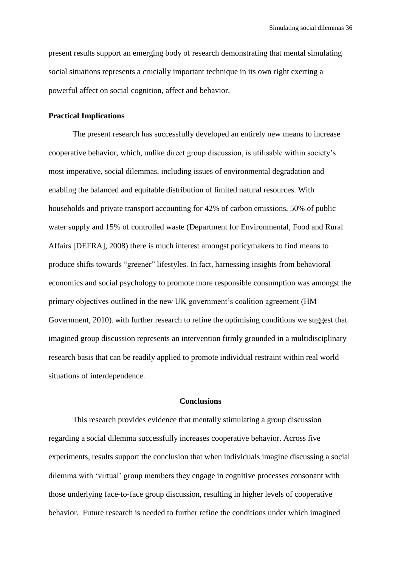present results support an emerging body of research demonstrating that mental simulating social situations represents a crucially important technique in its own right exerting a powerful affect on social cognition, affect and behavior.

#### **Practical Implications**

The present research has successfully developed an entirely new means to increase cooperative behavior, which, unlike direct group discussion, is utilisable within society's most imperative, social dilemmas, including issues of environmental degradation and enabling the balanced and equitable distribution of limited natural resources. With households and private transport accounting for 42% of carbon emissions, 50% of public water supply and 15% of controlled waste (Department for Environmental, Food and Rural Affairs [DEFRA], 2008) there is much interest amongst policymakers to find means to produce shifts towards "greener" lifestyles. In fact, harnessing insights from behavioral economics and social psychology to promote more responsible consumption was amongst the primary objectives outlined in the new UK government's coalition agreement (HM Government, 2010). With further research to refine the optimising conditions we suggest that imagined group discussion represents an intervention firmly grounded in a multidisciplinary research basis that can be readily applied to promote individual restraint within real world situations of interdependence.

#### **Conclusions**

This research provides evidence that mentally stimulating a group discussion regarding a social dilemma successfully increases cooperative behavior. Across five experiments, results support the conclusion that when individuals imagine discussing a social dilemma with 'virtual' group members they engage in cognitive processes consonant with those underlying face-to-face group discussion, resulting in higher levels of cooperative behavior. Future research is needed to further refine the conditions under which imagined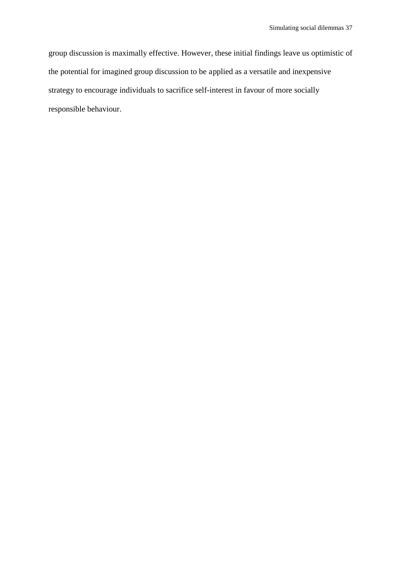group discussion is maximally effective. However, these initial findings leave us optimistic of the potential for imagined group discussion to be applied as a versatile and inexpensive strategy to encourage individuals to sacrifice self-interest in favour of more socially responsible behaviour.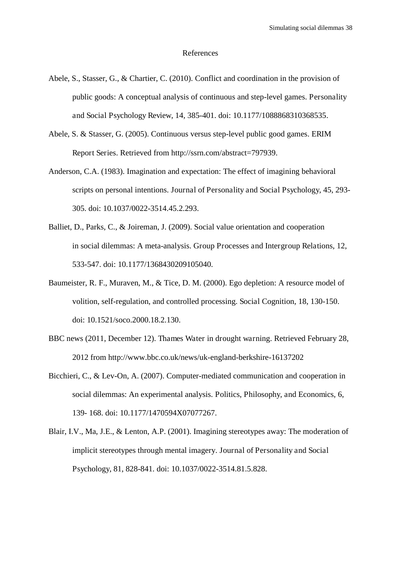#### References

- Abele, S., Stasser, G., & Chartier, C. (2010). Conflict and coordination in the provision of public goods: A conceptual analysis of continuous and step-level games. Personality and Social Psychology Review, 14, 385-401. doi: 10.1177/1088868310368535.
- Abele, S. & Stasser, G. (2005). Continuous versus step-level public good games. ERIM Report Series. Retrieved from http://ssrn.com/abstract=797939.
- Anderson, C.A. (1983). Imagination and expectation: The effect of imagining behavioral scripts on personal intentions. Journal of Personality and Social Psychology, 45, 293- 305. doi: 10.1037/0022-3514.45.2.293.
- Balliet, D., Parks, C., & Joireman, J. (2009). Social value orientation and cooperation in social dilemmas: A meta-analysis. Group Processes and Intergroup Relations, 12, 533-547. doi: 10.1177/1368430209105040.
- Baumeister, R. F., Muraven, M., & Tice, D. M. (2000). Ego depletion: A resource model of volition, self-regulation, and controlled processing. Social Cognition, 18, 130-150. doi: 10.1521/soco.2000.18.2.130.
- BBC news (2011, December 12). Thames Water in drought warning. Retrieved February 28, 2012 from http://www.bbc.co.uk/news/uk-england-berkshire-16137202
- Bicchieri, C., & Lev-On, A. (2007). Computer-mediated communication and cooperation in social dilemmas: An experimental analysis. Politics, Philosophy, and Economics, 6, 139- 168. doi: 10.1177/1470594X07077267.
- Blair, I.V., Ma, J.E., & Lenton, A.P. (2001). Imagining stereotypes away: The moderation of implicit stereotypes through mental imagery. Journal of Personality and Social Psychology, 81, 828-841. doi: 10.1037/0022-3514.81.5.828.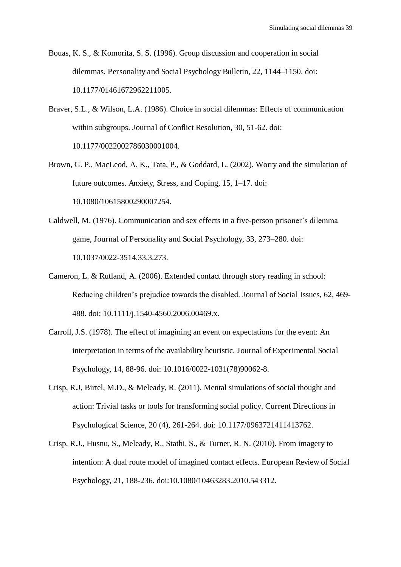- Bouas, K. S., & Komorita, S. S. (1996). Group discussion and cooperation in social dilemmas. Personality and Social Psychology Bulletin, 22, 1144–1150. doi: 10.1177/01461672962211005.
- Braver, S.L., & Wilson, L.A. (1986). Choice in social dilemmas: Effects of communication within subgroups. Journal of Conflict Resolution, 30, 51-62. doi: 10.1177/0022002786030001004.
- Brown, G. P., MacLeod, A. K., Tata, P., & Goddard, L. (2002). Worry and the simulation of future outcomes. Anxiety, Stress, and Coping, 15, 1–17. doi: 10.1080/10615800290007254.
- Caldwell, M. (1976). Communication and sex effects in a five-person prisoner's dilemma game, Journal of Personality and Social Psychology, 33, 273–280. doi: 10.1037/0022-3514.33.3.273.
- Cameron, L. & Rutland, A. (2006). Extended contact through story reading in school: Reducing children's prejudice towards the disabled. Journal of Social Issues, 62, 469- 488. doi: 10.1111/j.1540-4560.2006.00469.x.
- Carroll, J.S. (1978). The effect of imagining an event on expectations for the event: An interpretation in terms of the availability heuristic. Journal of Experimental Social Psychology, 14, 88-96. doi: 10.1016/0022-1031(78)90062-8.
- Crisp, R.J, Birtel, M.D., & Meleady, R. (2011). Mental simulations of social thought and action: Trivial tasks or tools for transforming social policy. Current Directions in Psychological Science, 20 (4), 261-264. doi: 10.1177/0963721411413762.
- Crisp, R.J., Husnu, S., Meleady, R., Stathi, S., & Turner, R. N. (2010). From imagery to intention: A dual route model of imagined contact effects. European Review of Social Psychology, 21, 188-236. doi:10.1080/10463283.2010.543312.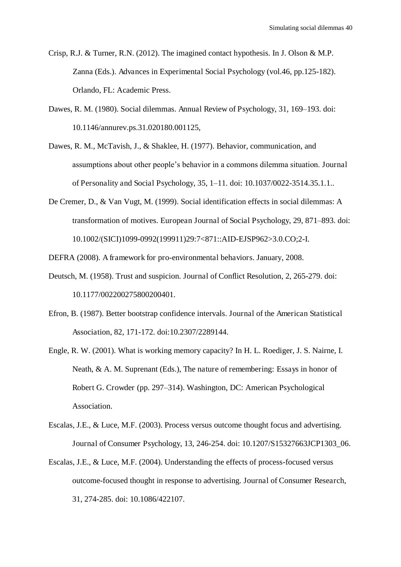- Crisp, R.J. & Turner, R.N. (2012). The imagined contact hypothesis. In J. Olson & M.P. Zanna (Eds.). Advances in Experimental Social Psychology (vol.46, pp.125-182). Orlando, FL: Academic Press.
- Dawes, R. M. (1980). Social dilemmas. Annual Review of Psychology, 31, 169–193. doi: 10.1146/annurev.ps.31.020180.001125,
- Dawes, R. M., McTavish, J., & Shaklee, H. (1977). Behavior, communication, and assumptions about other people's behavior in a commons dilemma situation. Journal of Personality and Social Psychology, 35, 1–11. doi: 10.1037/0022-3514.35.1.1..
- De Cremer, D., & Van Vugt, M. (1999). Social identification effects in social dilemmas: A transformation of motives. European Journal of Social Psychology, 29, 871–893. doi: 10.1002/(SICI)1099-0992(199911)29:7<871::AID-EJSP962>3.0.CO;2-I.

DEFRA (2008). A framework for pro-environmental behaviors. January, 2008.

- Deutsch, M. (1958). Trust and suspicion. Journal of Conflict Resolution, 2, 265-279. doi: 10.1177/002200275800200401.
- Efron, B. (1987). Better bootstrap confidence intervals. Journal of the American Statistical Association, 82, 171-172. doi:10.2307/2289144.
- Engle, R. W. (2001). What is working memory capacity? In H. L. Roediger, J. S. Nairne, I. Neath, & A. M. Suprenant (Eds.), The nature of remembering: Essays in honor of Robert G. Crowder (pp. 297–314). Washington, DC: American Psychological Association.
- Escalas, J.E., & Luce, M.F. (2003). Process versus outcome thought focus and advertising. Journal of Consumer Psychology, 13, 246-254. doi: 10.1207/S15327663JCP1303\_06.
- Escalas, J.E., & Luce, M.F. (2004). Understanding the effects of process-focused versus outcome-focused thought in response to advertising. Journal of Consumer Research, 31, 274-285. doi: 10.1086/422107.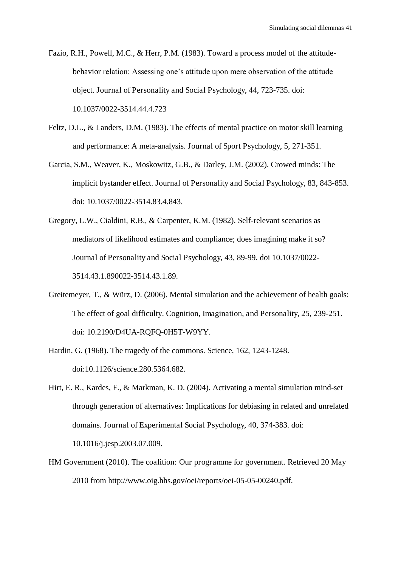- Fazio, R.H., Powell, M.C., & Herr, P.M. (1983). Toward a process model of the attitudebehavior relation: Assessing one's attitude upon mere observation of the attitude object. Journal of Personality and Social Psychology, 44, 723-735. doi: 10.1037/0022-3514.44.4.723
- Feltz, D.L., & Landers, D.M. (1983). The effects of mental practice on motor skill learning and performance: A meta-analysis. Journal of Sport Psychology, 5, 271-351.
- Garcia, S.M., Weaver, K., Moskowitz, G.B., & Darley, J.M. (2002). Crowed minds: The implicit bystander effect. Journal of Personality and Social Psychology, 83, 843-853. doi: 10.1037/0022-3514.83.4.843.
- Gregory, L.W., Cialdini, R.B., & Carpenter, K.M. (1982). Self-relevant scenarios as mediators of likelihood estimates and compliance; does imagining make it so? Journal of Personality and Social Psychology, 43, 89-99. doi 10.1037/0022- 3514.43.1.890022-3514.43.1.89.
- Greitemeyer, T., & Würz, D. (2006). Mental simulation and the achievement of health goals: The effect of goal difficulty. Cognition, Imagination, and Personality, 25, 239-251. doi: 10.2190/D4UA-RQFQ-0H5T-W9YY.
- Hardin, G. (1968). The tragedy of the commons. Science, 162, 1243-1248. doi:10.1126/science.280.5364.682.
- Hirt, E. R., Kardes, F., & Markman, K. D. (2004). Activating a mental simulation mind-set through generation of alternatives: Implications for debiasing in related and unrelated domains. Journal of Experimental Social Psychology, 40, 374-383. doi:

10.1016/j.jesp.2003.07.009.

HM Government (2010). The coalition: Our programme for government. Retrieved 20 May 2010 from http://www.oig.hhs.gov/oei/reports/oei-05-05-00240.pdf.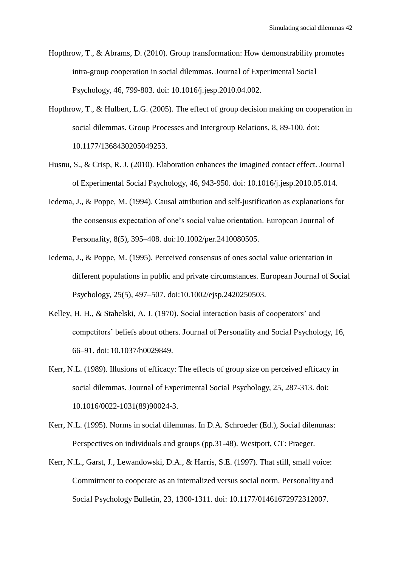- Hopthrow, T., & Abrams, D. (2010). Group transformation: How demonstrability promotes intra-group cooperation in social dilemmas. Journal of Experimental Social Psychology, 46, 799-803. doi: 10.1016/j.jesp.2010.04.002.
- Hopthrow, T., & Hulbert, L.G. (2005). The effect of group decision making on cooperation in social dilemmas. Group Processes and Intergroup Relations, 8, 89-100. doi: 10.1177/1368430205049253.
- Husnu, S., & Crisp, R. J. (2010). Elaboration enhances the imagined contact effect. Journal of Experimental Social Psychology, 46, 943-950. doi: 10.1016/j.jesp.2010.05.014.
- Iedema, J., & Poppe, M. (1994). Causal attribution and self-justification as explanations for the consensus expectation of one's social value orientation. European Journal of Personality, 8(5), 395–408. doi:10.1002/per.2410080505.
- Iedema, J., & Poppe, M. (1995). Perceived consensus of ones social value orientation in different populations in public and private circumstances. European Journal of Social Psychology, 25(5), 497–507. doi:10.1002/ejsp.2420250503.
- Kelley, H. H., & Stahelski, A. J. (1970). Social interaction basis of cooperators' and competitors' beliefs about others. Journal of Personality and Social Psychology, 16, 66–91. doi: 10.1037/h0029849.
- Kerr, N.L. (1989). Illusions of efficacy: The effects of group size on perceived efficacy in social dilemmas. Journal of Experimental Social Psychology, 25, 287-313. doi: 10.1016/0022-1031(89)90024-3.
- Kerr, N.L. (1995). Norms in social dilemmas. In D.A. Schroeder (Ed.), Social dilemmas: Perspectives on individuals and groups (pp.31-48). Westport, CT: Praeger.
- Kerr, N.L., Garst, J., Lewandowski, D.A., & Harris, S.E. (1997). That still, small voice: Commitment to cooperate as an internalized versus social norm. Personality and Social Psychology Bulletin, 23, 1300-1311. doi: 10.1177/01461672972312007.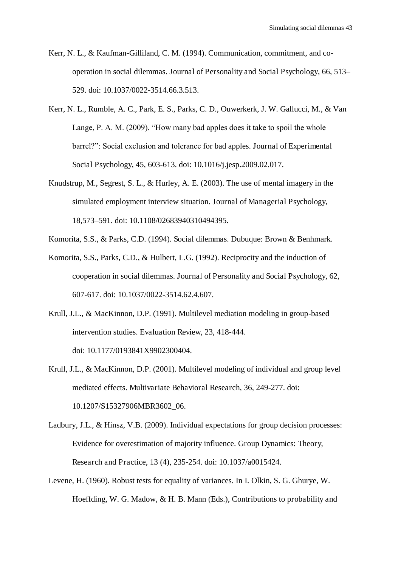- Kerr, N. L., & Kaufman-Gilliland, C. M. (1994). Communication, commitment, and cooperation in social dilemmas. Journal of Personality and Social Psychology, 66, 513– 529. doi: 10.1037/0022-3514.66.3.513.
- Kerr, N. L., Rumble, A. C., Park, E. S., Parks, C. D., Ouwerkerk, J. W. Gallucci, M., & Van Lange, P. A. M. (2009). "How many bad apples does it take to spoil the whole barrel?": Social exclusion and tolerance for bad apples. Journal of Experimental Social Psychology, 45, 603-613. doi: 10.1016/j.jesp.2009.02.017.
- Knudstrup, M., Segrest, S. L., & Hurley, A. E. (2003). The use of mental imagery in the simulated employment interview situation. Journal of Managerial Psychology, 18,573–591. doi: 10.1108/02683940310494395.
- Komorita, S.S., & Parks, C.D. (1994). Social dilemmas. Dubuque: Brown & Benhmark.
- Komorita, S.S., Parks, C.D., & Hulbert, L.G. (1992). Reciprocity and the induction of cooperation in social dilemmas. Journal of Personality and Social Psychology, 62, 607-617. doi: 10.1037/0022-3514.62.4.607.
- Krull, J.L., & MacKinnon, D.P. (1991). Multilevel mediation modeling in group-based intervention studies. Evaluation Review, 23, 418-444. doi: 10.1177/0193841X9902300404.
- Krull, J.L., & MacKinnon, D.P. (2001). Multilevel modeling of individual and group level mediated effects. Multivariate Behavioral Research, 36, 249-277. doi: 10.1207/S15327906MBR3602\_06.
- Ladbury, J.L., & Hinsz, V.B. (2009). Individual expectations for group decision processes: Evidence for overestimation of majority influence. Group Dynamics: Theory, Research and Practice, 13 (4), 235-254. doi: 10.1037/a0015424.
- Levene, H. (1960). Robust tests for equality of variances. In I. Olkin, S. G. Ghurye, W. Hoeffding, W. G. Madow, & H. B. Mann (Eds.), Contributions to probability and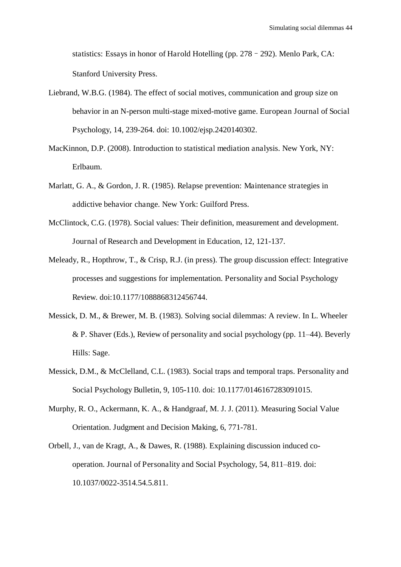statistics: Essays in honor of Harold Hotelling (pp.  $278 - 292$ ). Menlo Park, CA: Stanford University Press.

- Liebrand, W.B.G. (1984). The effect of social motives, communication and group size on behavior in an N-person multi-stage mixed-motive game. European Journal of Social Psychology, 14, 239-264. doi: 10.1002/ejsp.2420140302.
- MacKinnon, D.P. (2008). Introduction to statistical mediation analysis. New York, NY: Erlbaum.
- Marlatt, G. A., & Gordon, J. R. (1985). Relapse prevention: Maintenance strategies in addictive behavior change. New York: Guilford Press.
- McClintock, C.G. (1978). Social values: Their definition, measurement and development. Journal of Research and Development in Education, 12, 121-137.
- Meleady, R., Hopthrow, T., & Crisp, R.J. (in press). The group discussion effect: Integrative processes and suggestions for implementation. Personality and Social Psychology Review. doi:10.1177/1088868312456744.
- Messick, D. M., & Brewer, M. B. (1983). Solving social dilemmas: A review. In L. Wheeler & P. Shaver (Eds.), Review of personality and social psychology (pp. 11–44). Beverly Hills: Sage.
- Messick, D.M., & McClelland, C.L. (1983). Social traps and temporal traps. Personality and Social Psychology Bulletin, 9, 105-110. doi: 10.1177/0146167283091015.
- Murphy, R. O., Ackermann, K. A., & Handgraaf, M. J. J. (2011). Measuring Social Value Orientation. Judgment and Decision Making, 6, 771-781.
- Orbell, J., van de Kragt, A., & Dawes, R. (1988). Explaining discussion induced cooperation. Journal of Personality and Social Psychology, 54, 811–819. doi: 10.1037/0022-3514.54.5.811.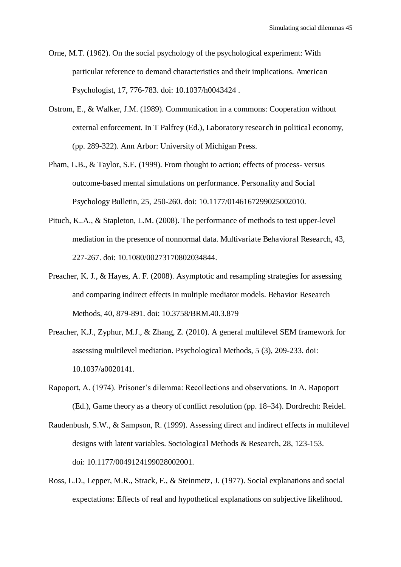- Orne, M.T. (1962). On the social psychology of the psychological experiment: With particular reference to demand characteristics and their implications. American Psychologist, 17, 776-783. doi: 10.1037/h0043424 .
- Ostrom, E., & Walker, J.M. (1989). Communication in a commons: Cooperation without external enforcement. In T Palfrey (Ed.), Laboratory research in political economy, (pp. 289-322). Ann Arbor: University of Michigan Press.
- Pham, L.B., & Taylor, S.E. (1999). From thought to action; effects of process- versus outcome-based mental simulations on performance. Personality and Social Psychology Bulletin, 25, 250-260. doi: 10.1177/0146167299025002010.
- Pituch, K..A., & Stapleton, L.M. (2008). The performance of methods to test upper-level mediation in the presence of nonnormal data. Multivariate Behavioral Research, 43, 227-267. doi: 10.1080/00273170802034844.
- Preacher, K. J., & Hayes, A. F. (2008). Asymptotic and resampling strategies for assessing and comparing indirect effects in multiple mediator models. Behavior Research Methods, 40, 879-891. doi: 10.3758/BRM.40.3.879
- Preacher, K.J., Zyphur, M.J., & Zhang, Z. (2010). A general multilevel SEM framework for assessing multilevel mediation. Psychological Methods, 5 (3), 209-233. doi: 10.1037/a0020141.
- Rapoport, A. (1974). Prisoner's dilemma: Recollections and observations. In A. Rapoport (Ed.), Game theory as a theory of conflict resolution (pp. 18–34). Dordrecht: Reidel.
- Raudenbush, S.W., & Sampson, R. (1999). Assessing direct and indirect effects in multilevel designs with latent variables. Sociological Methods & Research, 28, 123-153. doi: 10.1177/0049124199028002001.
- Ross, L.D., Lepper, M.R., Strack, F., & Steinmetz, J. (1977). Social explanations and social expectations: Effects of real and hypothetical explanations on subjective likelihood.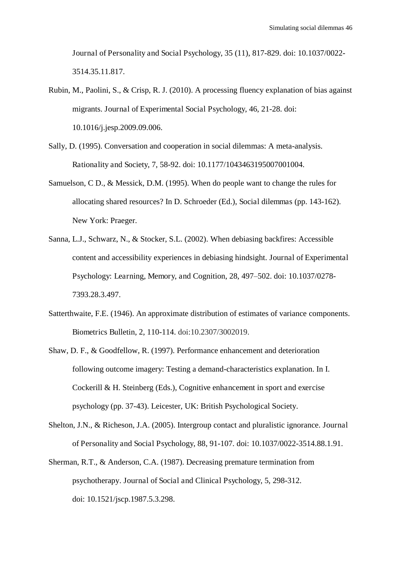Journal of Personality and Social Psychology, 35 (11), 817-829. doi: 10.1037/0022- 3514.35.11.817.

- Rubin, M., Paolini, S., & Crisp, R. J. (2010). A processing fluency explanation of bias against migrants. Journal of Experimental Social Psychology, 46, 21-28. doi: 10.1016/j.jesp.2009.09.006.
- Sally, D. (1995). Conversation and cooperation in social dilemmas: A meta-analysis. Rationality and Society, 7, 58-92. doi: 10.1177/1043463195007001004.
- Samuelson, C D., & Messick, D.M. (1995). When do people want to change the rules for allocating shared resources? In D. Schroeder (Ed.), Social dilemmas (pp. 143-162). New York: Praeger.
- Sanna, L.J., Schwarz, N., & Stocker, S.L. (2002). When debiasing backfires: Accessible content and accessibility experiences in debiasing hindsight. Journal of Experimental Psychology: Learning, Memory, and Cognition, 28, 497–502. doi: 10.1037/0278- 7393.28.3.497.
- Satterthwaite, F.E. (1946). An approximate distribution of estimates of variance components. Biometrics Bulletin, 2, 110-114. doi:10.2307/3002019.
- Shaw, D. F., & Goodfellow, R. (1997). Performance enhancement and deterioration following outcome imagery: Testing a demand-characteristics explanation. In I. Cockerill & H. Steinberg (Eds.), Cognitive enhancement in sport and exercise psychology (pp. 37-43). Leicester, UK: British Psychological Society.
- Shelton, J.N., & Richeson, J.A. (2005). Intergroup contact and pluralistic ignorance. Journal of Personality and Social Psychology, 88, 91-107. doi: 10.1037/0022-3514.88.1.91.
- Sherman, R.T., & Anderson, C.A. (1987). Decreasing premature termination from psychotherapy. Journal of Social and Clinical Psychology, 5, 298-312. doi: 10.1521/jscp.1987.5.3.298.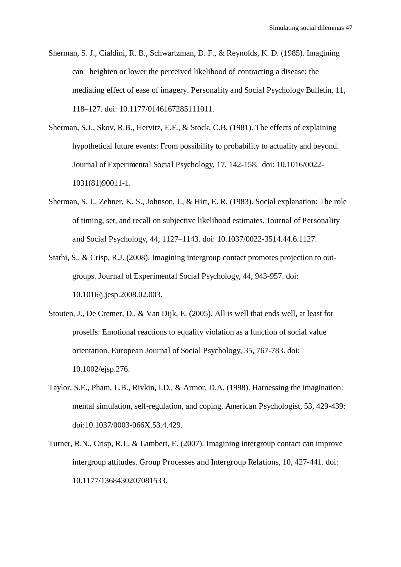- Sherman, S. J., Cialdini, R. B., Schwartzman, D. F., & Reynolds, K. D. (1985). Imagining can heighten or lower the perceived likelihood of contracting a disease: the mediating effect of ease of imagery. Personality and Social Psychology Bulletin, 11, 118–127. doi: 10.1177/0146167285111011.
- Sherman, S.J., Skov, R.B., Hervitz, E.F., & Stock, C.B. (1981). The effects of explaining hypothetical future events: From possibility to probability to actuality and beyond. Journal of Experimental Social Psychology, 17, 142-158. doi: 10.1016/0022- 1031(81)90011-1.
- Sherman, S. J., Zehner, K. S., Johnson, J., & Hirt, E. R. (1983). Social explanation: The role of timing, set, and recall on subjective likelihood estimates. Journal of Personality and Social Psychology, 44, 1127–1143. doi: 10.1037/0022-3514.44.6.1127.
- Stathi, S., & Crisp, R.J. (2008). Imagining intergroup contact promotes projection to outgroups. Journal of Experimental Social Psychology, 44, 943-957. doi: 10.1016/j.jesp.2008.02.003.
- Stouten, J., De Cremer, D., & Van Dijk, E. (2005). All is well that ends well, at least for proselfs: Emotional reactions to equality violation as a function of social value orientation. European Journal of Social Psychology, 35, 767-783. doi: 10.1002/ejsp.276.
- Taylor, S.E., Pham, L.B., Rivkin, I.D., & Armor, D.A. (1998). Harnessing the imagination: mental simulation, self-regulation, and coping. American Psychologist, 53, 429-439: doi:10.1037/0003-066X.53.4.429.
- Turner, R.N., Crisp, R.J., & Lambert, E. (2007). Imagining intergroup contact can improve intergroup attitudes. Group Processes and Intergroup Relations, 10, 427-441. doi: 10.1177/1368430207081533.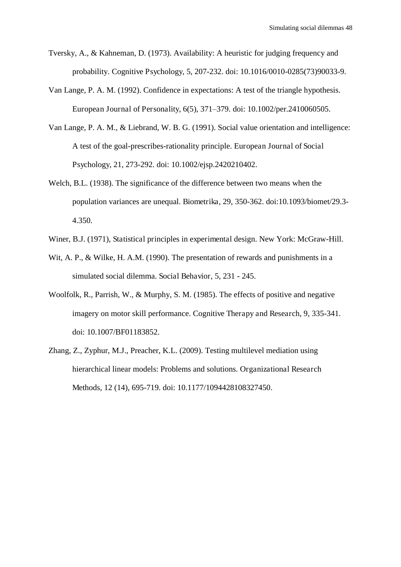- Tversky, A., & Kahneman, D. (1973). Availability: A heuristic for judging frequency and probability. Cognitive Psychology, 5, 207-232. doi: 10.1016/0010-0285(73)90033-9.
- Van Lange, P. A. M. (1992). Confidence in expectations: A test of the triangle hypothesis. European Journal of Personality, 6(5), 371–379. doi: 10.1002/per.2410060505.
- Van Lange, P. A. M., & Liebrand, W. B. G. (1991). Social value orientation and intelligence: A test of the goal-prescribes-rationality principle. European Journal of Social Psychology, 21, 273-292. doi: 10.1002/ejsp.2420210402.
- Welch, B.L. (1938). The significance of the difference between two means when the population variances are unequal. Biometrika, 29, 350-362. doi:10.1093/biomet/29.3- 4.350.
- Winer, B.J. (1971), Statistical principles in experimental design. New York: McGraw-Hill.
- Wit, A. P., & Wilke, H. A.M. (1990). The presentation of rewards and punishments in a simulated social dilemma. Social Behavior, 5, 231 - 245.
- Woolfolk, R., Parrish, W., & Murphy, S. M. (1985). The effects of positive and negative imagery on motor skill performance. Cognitive Therapy and Research, 9, 335-341. doi: 10.1007/BF01183852.
- Zhang, Z., Zyphur, M.J., Preacher, K.L. (2009). Testing multilevel mediation using hierarchical linear models: Problems and solutions. Organizational Research Methods, 12 (14), 695-719. doi: 10.1177/1094428108327450.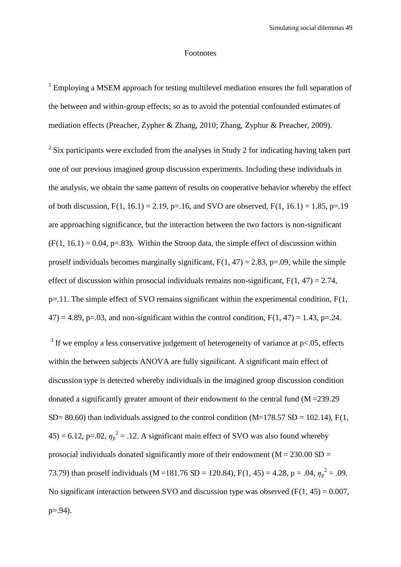#### Footnotes

<sup>1</sup> Employing a MSEM approach for testing multilevel mediation ensures the full separation of the between and within-group effects; so as to avoid the potential confounded estimates of mediation effects (Preacher, Zypher & Zhang, 2010; Zhang, Zyphur & Preacher, 2009).

 $2$  Six participants were excluded from the analyses in Study 2 for indicating having taken part one of our previous imagined group discussion experiments. Including these individuals in the analysis, we obtain the same pattern of results on cooperative behavior whereby the effect of both discussion,  $F(1, 16.1) = 2.19$ , p=.16, and SVO are observed,  $F(1, 16.1) = 1.85$ , p=.19 are approaching significance, but the interaction between the two factors is non-significant  $(F(1, 16.1) = 0.04, p=.83)$ . Within the Stroop data, the simple effect of discussion within proself individuals becomes marginally significant,  $F(1, 47) = 2.83$ , p=.09, while the simple effect of discussion within prosocial individuals remains non-significant,  $F(1, 47) = 2.74$ , p=.11. The simple effect of SVO remains significant within the experimental condition, F(1,  $47) = 4.89$ , p=.03, and non-significant within the control condition,  $F(1, 47) = 1.43$ , p=.24.

<sup>3</sup> If we employ a less conservative judgement of heterogeneity of variance at  $p<0.05$ , effects within the between subjects ANOVA are fully significant. A significant main effect of discussion type is detected whereby individuals in the imagined group discussion condition donated a significantly greater amount of their endowment to the central fund (M =239.29 SD= 80.60) than individuals assigned to the control condition  $(M=178.57 SD = 102.14)$ , F(1,  $(45) = 6.12$ ,  $p = .02$ ,  $\eta_p^2 = .12$ . A significant main effect of SVO was also found whereby prosocial individuals donated significantly more of their endowment ( $M = 230.00$  SD = 73.79) than proself individuals (M = 181.76 SD = 120.84), F(1, 45) = 4.28, p = .04,  $\eta_p^2$  = .09. No significant interaction between SVO and discussion type was observed  $(F(1, 45) = 0.007$ , p=.94).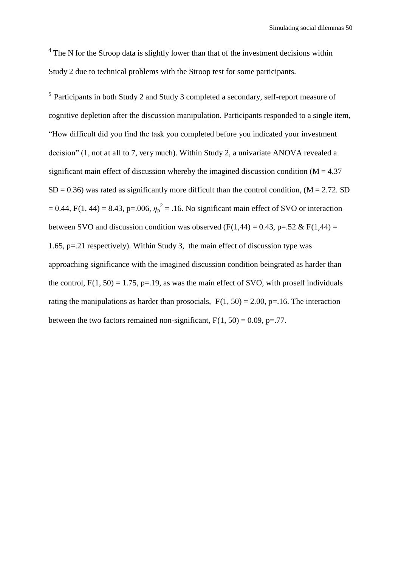<sup>4</sup> The N for the Stroop data is slightly lower than that of the investment decisions within Study 2 due to technical problems with the Stroop test for some participants.

 $<sup>5</sup>$  Participants in both Study 2 and Study 3 completed a secondary, self-report measure of</sup> cognitive depletion after the discussion manipulation. Participants responded to a single item, "How difficult did you find the task you completed before you indicated your investment decision" (1, not at all to 7, very much). Within Study 2, a univariate ANOVA revealed a significant main effect of discussion whereby the imagined discussion condition  $(M = 4.37)$  $SD = 0.36$ ) was rated as significantly more difficult than the control condition, (M = 2.72. SD  $= 0.44$ , F(1, 44) = 8.43, p=.006,  $\eta_p^2 = 0.16$ . No significant main effect of SVO or interaction between SVO and discussion condition was observed  $(F(1,44) = 0.43, p=.52 \& F(1,44) =$ 1.65, p=.21 respectively). Within Study 3, the main effect of discussion type was approaching significance with the imagined discussion condition beingrated as harder than the control,  $F(1, 50) = 1.75$ , p=.19, as was the main effect of SVO, with proself individuals rating the manipulations as harder than prosocials,  $F(1, 50) = 2.00$ , p=.16. The interaction between the two factors remained non-significant,  $F(1, 50) = 0.09$ , p=.77.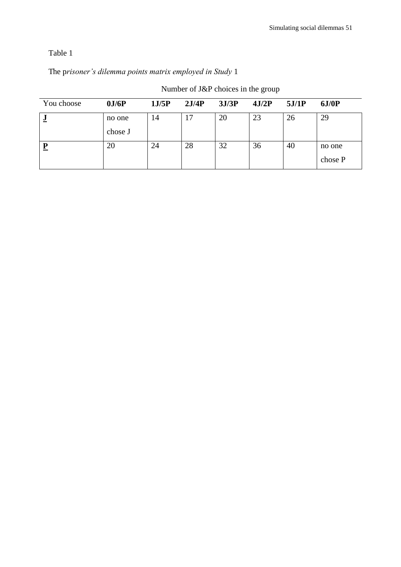The p*risoner's dilemma points matrix employed in Study* 1

| You choose | 0J/6P             | 1J/5P | 2J/4P | 3J/3P | 4J/2P | 5J/1P | 6J/0P             |
|------------|-------------------|-------|-------|-------|-------|-------|-------------------|
| <u>J</u>   | no one<br>chose J | 14    | 17    | 20    | 23    | 26    | 29                |
| D          | 20                | 24    | 28    | 32    | 36    | 40    | no one<br>chose P |

Number of J&P choices in the group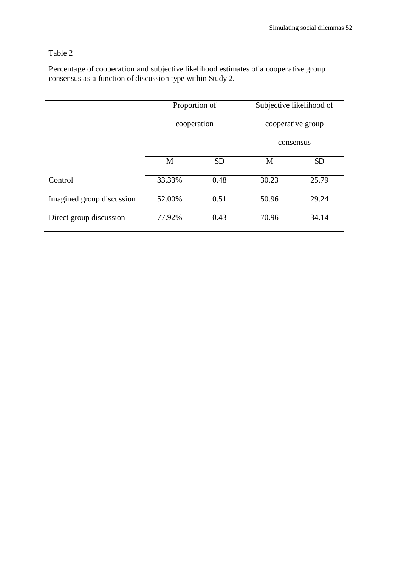Percentage of cooperation and subjective likelihood estimates of a cooperative group consensus as a function of discussion type within Study 2.

|                           | Proportion of |           | Subjective likelihood of |           |  |
|---------------------------|---------------|-----------|--------------------------|-----------|--|
|                           | cooperation   |           | cooperative group        |           |  |
|                           |               |           | consensus                |           |  |
|                           | M             | <b>SD</b> | M                        | <b>SD</b> |  |
| Control                   | 33.33%        | 0.48      | 30.23                    | 25.79     |  |
| Imagined group discussion | 52.00%        | 0.51      | 50.96                    | 29.24     |  |
| Direct group discussion   | 77.92%        | 0.43      | 70.96                    | 34.14     |  |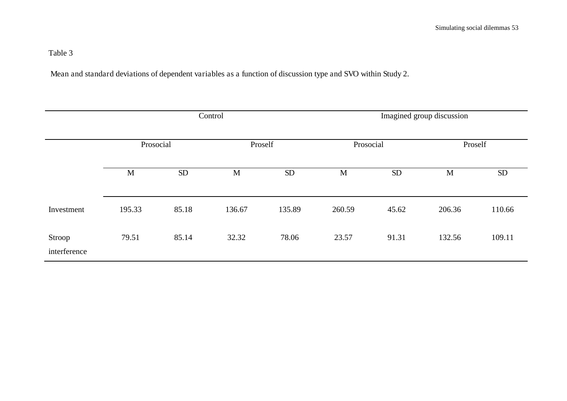Mean and standard deviations of dependent variables as a function of discussion type and SVO within Study 2.

|                        | Control     |       |         |        | Imagined group discussion |       |         |           |
|------------------------|-------------|-------|---------|--------|---------------------------|-------|---------|-----------|
|                        | Prosocial   |       | Proself |        | Prosocial                 |       | Proself |           |
|                        | $\mathbf M$ | SD    | M       | SD     | M                         | SD    | M       | <b>SD</b> |
| Investment             | 195.33      | 85.18 | 136.67  | 135.89 | 260.59                    | 45.62 | 206.36  | 110.66    |
| Stroop<br>interference | 79.51       | 85.14 | 32.32   | 78.06  | 23.57                     | 91.31 | 132.56  | 109.11    |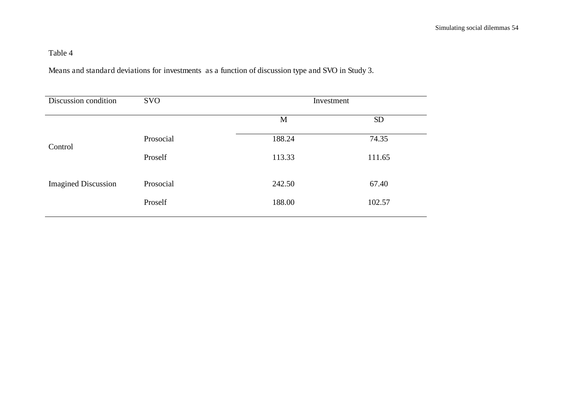Means and standard deviations for investments as a function of discussion type and SVO in Study 3.

| Discussion condition       | <b>SVO</b> | Investment |           |  |
|----------------------------|------------|------------|-----------|--|
|                            |            | M          | <b>SD</b> |  |
| Control                    | Prosocial  | 188.24     | 74.35     |  |
|                            | Proself    | 113.33     | 111.65    |  |
| <b>Imagined Discussion</b> | Prosocial  | 242.50     | 67.40     |  |
|                            | Proself    | 188.00     | 102.57    |  |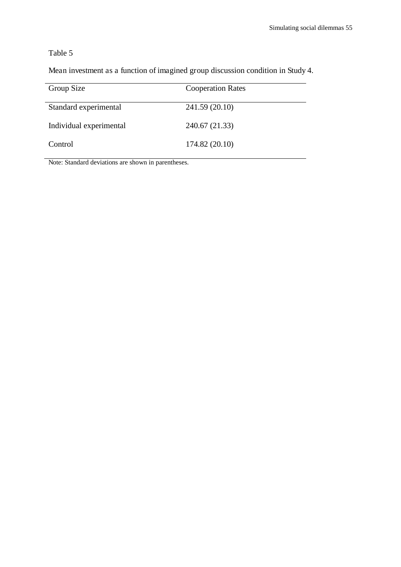Mean investment as a function of imagined group discussion condition in Study 4.

| Group Size              | <b>Cooperation Rates</b> |
|-------------------------|--------------------------|
| Standard experimental   | 241.59 (20.10)           |
| Individual experimental | 240.67 (21.33)           |
| Control                 | 174.82 (20.10)           |

Note: Standard deviations are shown in parentheses.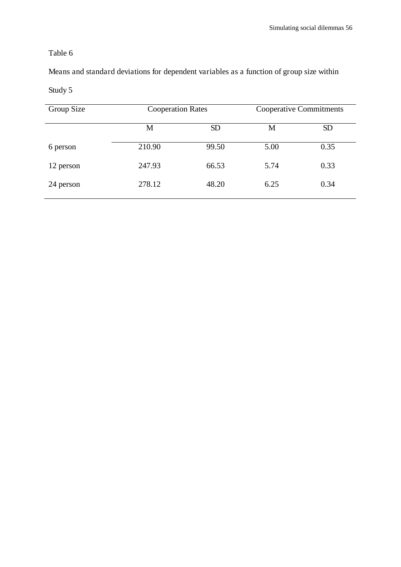Means and standard deviations for dependent variables as a function of group size within

```
Study 5
```

| Group Size | <b>Cooperation Rates</b> |           | <b>Cooperative Commitments</b> |           |
|------------|--------------------------|-----------|--------------------------------|-----------|
|            | M                        | <b>SD</b> | M                              | <b>SD</b> |
| 6 person   | 210.90                   | 99.50     | 5.00                           | 0.35      |
| 12 person  | 247.93                   | 66.53     | 5.74                           | 0.33      |
| 24 person  | 278.12                   | 48.20     | 6.25                           | 0.34      |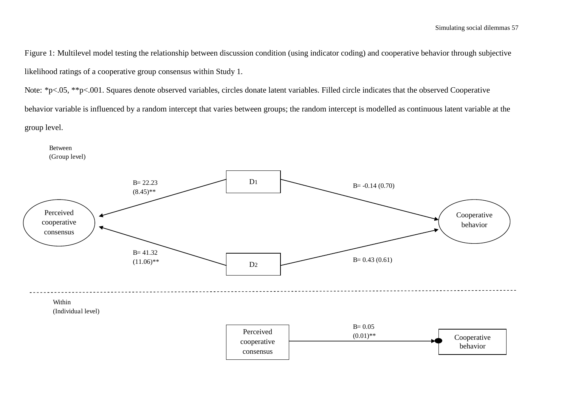Figure 1: Multilevel model testing the relationship between discussion condition (using indicator coding) and cooperative behavior through subjective likelihood ratings of a cooperative group consensus within Study 1.

Note: \*p<.05, \*\*p<.001. Squares denote observed variables, circles donate latent variables. Filled circle indicates that the observed Cooperative behavior variable is influenced by a random intercept that varies between groups; the random intercept is modelled as continuous latent variable at the group level.